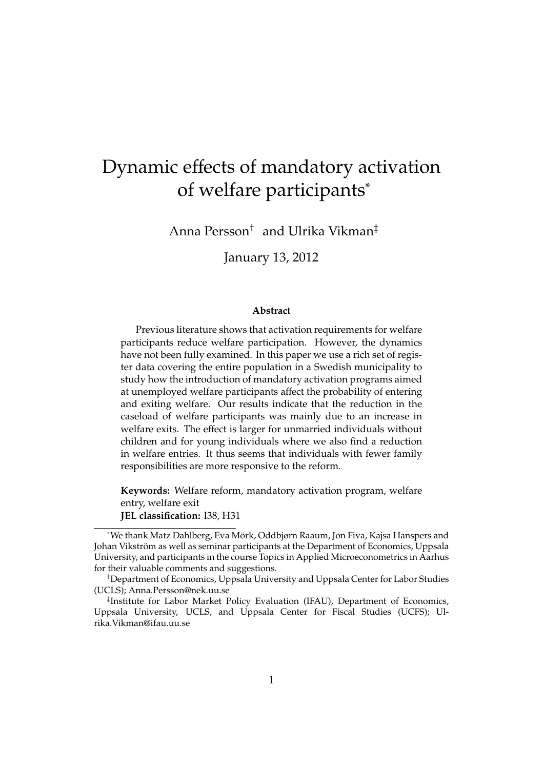# Dynamic effects of mandatory activation of welfare participants<sup>∗</sup>

Anna Persson† and Ulrika Vikman‡

January 13, 2012

#### **Abstract**

Previous literature shows that activation requirements for welfare participants reduce welfare participation. However, the dynamics have not been fully examined. In this paper we use a rich set of register data covering the entire population in a Swedish municipality to study how the introduction of mandatory activation programs aimed at unemployed welfare participants affect the probability of entering and exiting welfare. Our results indicate that the reduction in the caseload of welfare participants was mainly due to an increase in welfare exits. The effect is larger for unmarried individuals without children and for young individuals where we also find a reduction in welfare entries. It thus seems that individuals with fewer family responsibilities are more responsive to the reform.

**Keywords:** Welfare reform, mandatory activation program, welfare entry, welfare exit **JEL classification:** I38, H31

<sup>∗</sup>We thank Matz Dahlberg, Eva Mork, Oddbjørn Raaum, Jon Fiva, Kajsa Hanspers and ¨ Johan Vikström as well as seminar participants at the Department of Economics, Uppsala University, and participants in the course Topics in Applied Microeconometrics in Aarhus for their valuable comments and suggestions.

<sup>†</sup>Department of Economics, Uppsala University and Uppsala Center for Labor Studies (UCLS); Anna.Persson@nek.uu.se

<sup>‡</sup> Institute for Labor Market Policy Evaluation (IFAU), Department of Economics, Uppsala University, UCLS, and Uppsala Center for Fiscal Studies (UCFS); Ulrika.Vikman@ifau.uu.se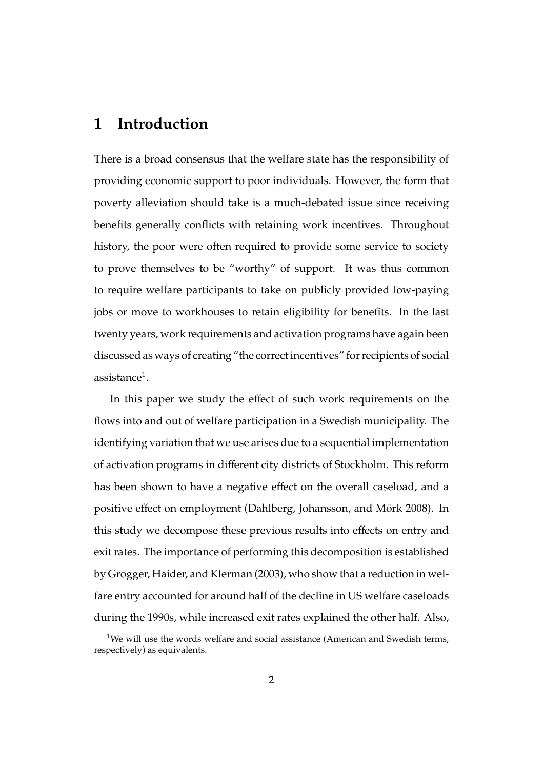# **1 Introduction**

There is a broad consensus that the welfare state has the responsibility of providing economic support to poor individuals. However, the form that poverty alleviation should take is a much-debated issue since receiving benefits generally conflicts with retaining work incentives. Throughout history, the poor were often required to provide some service to society to prove themselves to be "worthy" of support. It was thus common to require welfare participants to take on publicly provided low-paying jobs or move to workhouses to retain eligibility for benefits. In the last twenty years, work requirements and activation programs have again been discussed as ways of creating "the correct incentives" for recipients of social assistance $^1$ .

In this paper we study the effect of such work requirements on the flows into and out of welfare participation in a Swedish municipality. The identifying variation that we use arises due to a sequential implementation of activation programs in different city districts of Stockholm. This reform has been shown to have a negative effect on the overall caseload, and a positive effect on employment (Dahlberg, Johansson, and Mörk 2008). In this study we decompose these previous results into effects on entry and exit rates. The importance of performing this decomposition is established by Grogger, Haider, and Klerman (2003), who show that a reduction in welfare entry accounted for around half of the decline in US welfare caseloads during the 1990s, while increased exit rates explained the other half. Also,

<sup>&</sup>lt;sup>1</sup>We will use the words welfare and social assistance (American and Swedish terms, respectively) as equivalents.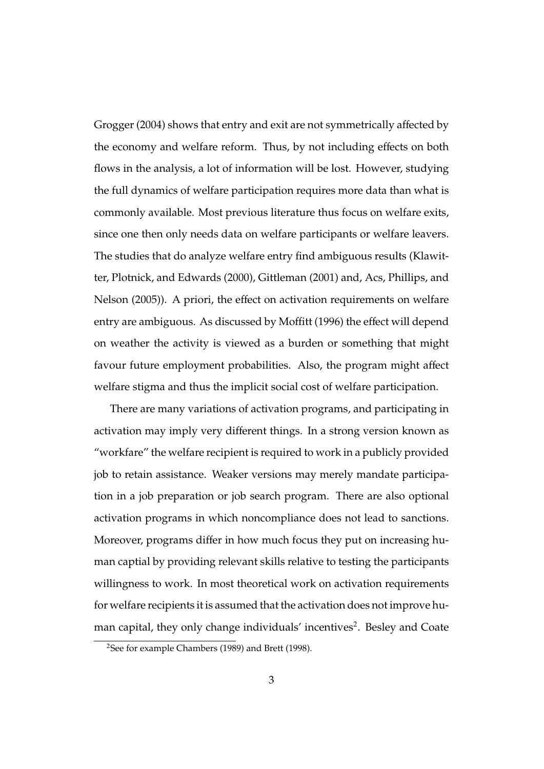Grogger (2004) shows that entry and exit are not symmetrically affected by the economy and welfare reform. Thus, by not including effects on both flows in the analysis, a lot of information will be lost. However, studying the full dynamics of welfare participation requires more data than what is commonly available. Most previous literature thus focus on welfare exits, since one then only needs data on welfare participants or welfare leavers. The studies that do analyze welfare entry find ambiguous results (Klawitter, Plotnick, and Edwards (2000), Gittleman (2001) and, Acs, Phillips, and Nelson (2005)). A priori, the effect on activation requirements on welfare entry are ambiguous. As discussed by Moffitt (1996) the effect will depend on weather the activity is viewed as a burden or something that might favour future employment probabilities. Also, the program might affect welfare stigma and thus the implicit social cost of welfare participation.

There are many variations of activation programs, and participating in activation may imply very different things. In a strong version known as "workfare" the welfare recipient is required to work in a publicly provided job to retain assistance. Weaker versions may merely mandate participation in a job preparation or job search program. There are also optional activation programs in which noncompliance does not lead to sanctions. Moreover, programs differ in how much focus they put on increasing human captial by providing relevant skills relative to testing the participants willingness to work. In most theoretical work on activation requirements for welfare recipients it is assumed that the activation does not improve human capital, they only change individuals' incentives<sup>2</sup>. Besley and Coate

<sup>&</sup>lt;sup>2</sup>See for example Chambers (1989) and Brett (1998).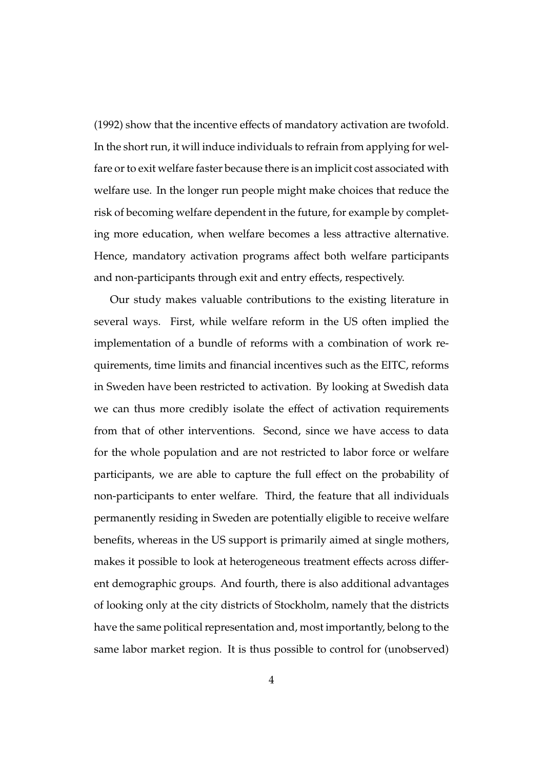(1992) show that the incentive effects of mandatory activation are twofold. In the short run, it will induce individuals to refrain from applying for welfare or to exit welfare faster because there is an implicit cost associated with welfare use. In the longer run people might make choices that reduce the risk of becoming welfare dependent in the future, for example by completing more education, when welfare becomes a less attractive alternative. Hence, mandatory activation programs affect both welfare participants and non-participants through exit and entry effects, respectively.

Our study makes valuable contributions to the existing literature in several ways. First, while welfare reform in the US often implied the implementation of a bundle of reforms with a combination of work requirements, time limits and financial incentives such as the EITC, reforms in Sweden have been restricted to activation. By looking at Swedish data we can thus more credibly isolate the effect of activation requirements from that of other interventions. Second, since we have access to data for the whole population and are not restricted to labor force or welfare participants, we are able to capture the full effect on the probability of non-participants to enter welfare. Third, the feature that all individuals permanently residing in Sweden are potentially eligible to receive welfare benefits, whereas in the US support is primarily aimed at single mothers, makes it possible to look at heterogeneous treatment effects across different demographic groups. And fourth, there is also additional advantages of looking only at the city districts of Stockholm, namely that the districts have the same political representation and, most importantly, belong to the same labor market region. It is thus possible to control for (unobserved)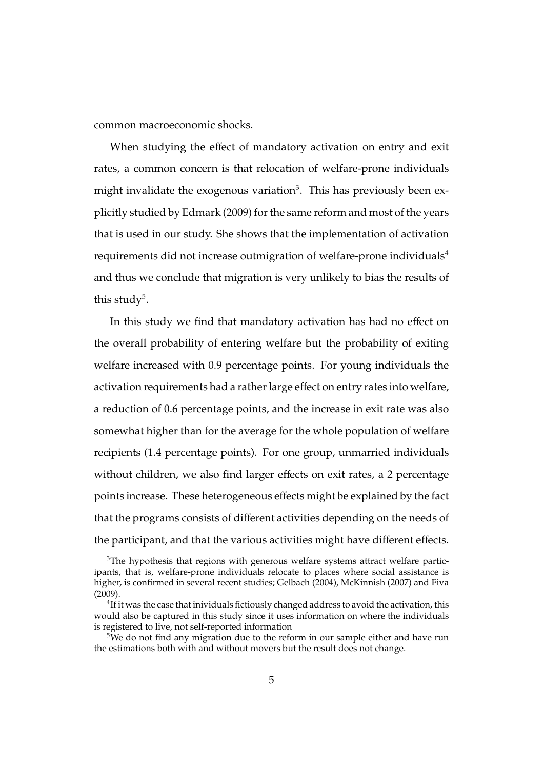common macroeconomic shocks.

When studying the effect of mandatory activation on entry and exit rates, a common concern is that relocation of welfare-prone individuals might invalidate the exogenous variation $^3$ . This has previously been explicitly studied by Edmark (2009) for the same reform and most of the years that is used in our study. She shows that the implementation of activation requirements did not increase outmigration of welfare-prone individuals<sup>4</sup> and thus we conclude that migration is very unlikely to bias the results of this study $^5$ .

In this study we find that mandatory activation has had no effect on the overall probability of entering welfare but the probability of exiting welfare increased with 0.9 percentage points. For young individuals the activation requirements had a rather large effect on entry rates into welfare, a reduction of 0.6 percentage points, and the increase in exit rate was also somewhat higher than for the average for the whole population of welfare recipients (1.4 percentage points). For one group, unmarried individuals without children, we also find larger effects on exit rates, a 2 percentage points increase. These heterogeneous effects might be explained by the fact that the programs consists of different activities depending on the needs of the participant, and that the various activities might have different effects.

 $3$ The hypothesis that regions with generous welfare systems attract welfare participants, that is, welfare-prone individuals relocate to places where social assistance is higher, is confirmed in several recent studies; Gelbach (2004), McKinnish (2007) and Fiva (2009).

 $^{4}$ If it was the case that inividuals fictiously changed address to avoid the activation, this would also be captured in this study since it uses information on where the individuals is registered to live, not self-reported information

 $5$ We do not find any migration due to the reform in our sample either and have run the estimations both with and without movers but the result does not change.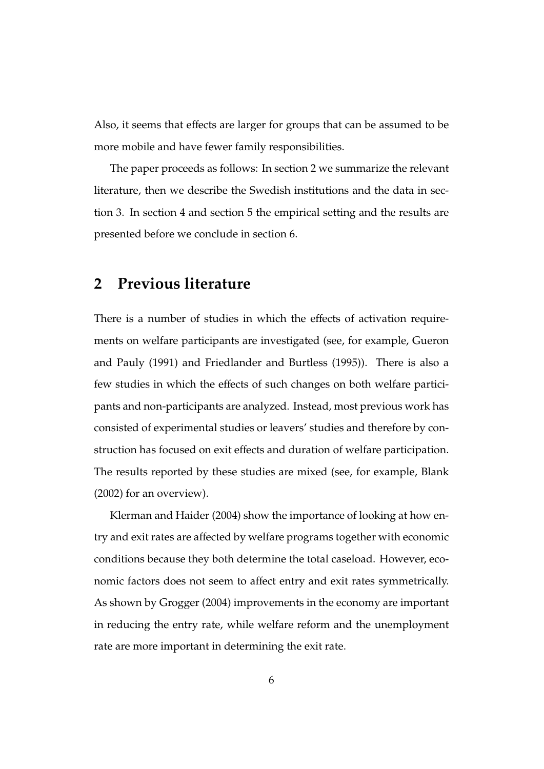Also, it seems that effects are larger for groups that can be assumed to be more mobile and have fewer family responsibilities.

The paper proceeds as follows: In section 2 we summarize the relevant literature, then we describe the Swedish institutions and the data in section 3. In section 4 and section 5 the empirical setting and the results are presented before we conclude in section 6.

# **2 Previous literature**

There is a number of studies in which the effects of activation requirements on welfare participants are investigated (see, for example, Gueron and Pauly (1991) and Friedlander and Burtless (1995)). There is also a few studies in which the effects of such changes on both welfare participants and non-participants are analyzed. Instead, most previous work has consisted of experimental studies or leavers' studies and therefore by construction has focused on exit effects and duration of welfare participation. The results reported by these studies are mixed (see, for example, Blank (2002) for an overview).

Klerman and Haider (2004) show the importance of looking at how entry and exit rates are affected by welfare programs together with economic conditions because they both determine the total caseload. However, economic factors does not seem to affect entry and exit rates symmetrically. As shown by Grogger (2004) improvements in the economy are important in reducing the entry rate, while welfare reform and the unemployment rate are more important in determining the exit rate.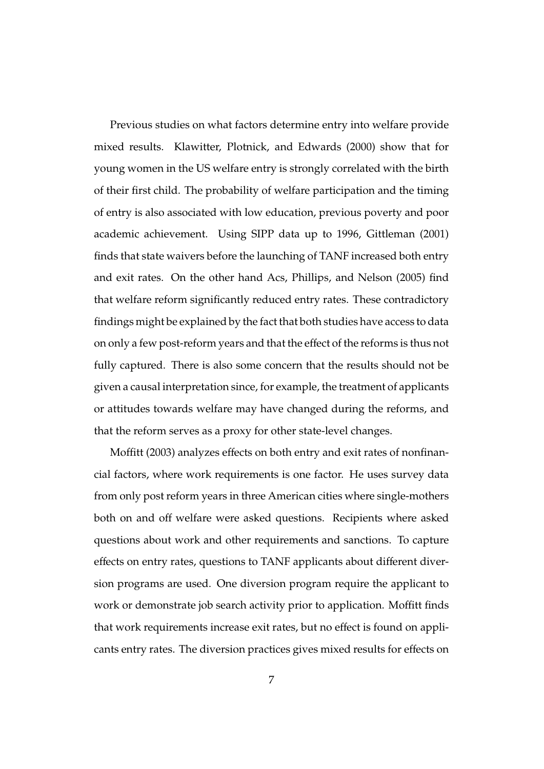Previous studies on what factors determine entry into welfare provide mixed results. Klawitter, Plotnick, and Edwards (2000) show that for young women in the US welfare entry is strongly correlated with the birth of their first child. The probability of welfare participation and the timing of entry is also associated with low education, previous poverty and poor academic achievement. Using SIPP data up to 1996, Gittleman (2001) finds that state waivers before the launching of TANF increased both entry and exit rates. On the other hand Acs, Phillips, and Nelson (2005) find that welfare reform significantly reduced entry rates. These contradictory findings might be explained by the fact that both studies have access to data on only a few post-reform years and that the effect of the reforms is thus not fully captured. There is also some concern that the results should not be given a causal interpretation since, for example, the treatment of applicants or attitudes towards welfare may have changed during the reforms, and that the reform serves as a proxy for other state-level changes.

Moffitt (2003) analyzes effects on both entry and exit rates of nonfinancial factors, where work requirements is one factor. He uses survey data from only post reform years in three American cities where single-mothers both on and off welfare were asked questions. Recipients where asked questions about work and other requirements and sanctions. To capture effects on entry rates, questions to TANF applicants about different diversion programs are used. One diversion program require the applicant to work or demonstrate job search activity prior to application. Moffitt finds that work requirements increase exit rates, but no effect is found on applicants entry rates. The diversion practices gives mixed results for effects on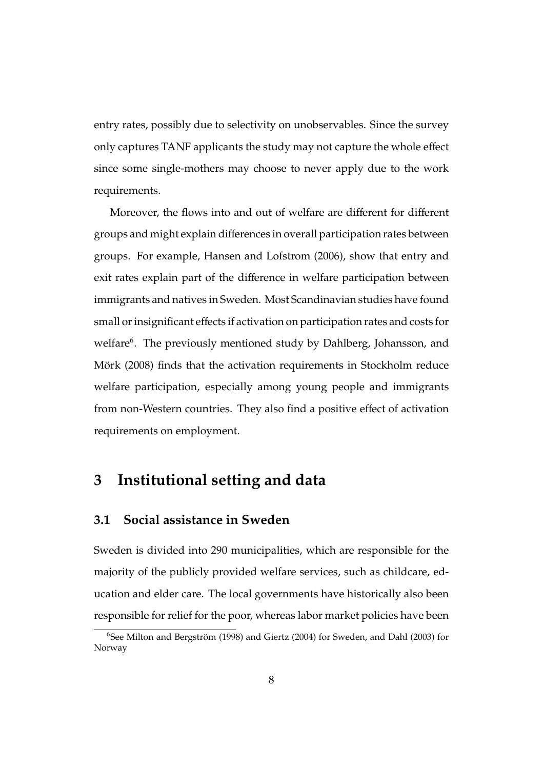entry rates, possibly due to selectivity on unobservables. Since the survey only captures TANF applicants the study may not capture the whole effect since some single-mothers may choose to never apply due to the work requirements.

Moreover, the flows into and out of welfare are different for different groups and might explain differences in overall participation rates between groups. For example, Hansen and Lofstrom (2006), show that entry and exit rates explain part of the difference in welfare participation between immigrants and natives in Sweden. Most Scandinavian studies have found small or insignificant effects if activation on participation rates and costs for welfare<sup>6</sup>. The previously mentioned study by Dahlberg, Johansson, and Mörk (2008) finds that the activation requirements in Stockholm reduce welfare participation, especially among young people and immigrants from non-Western countries. They also find a positive effect of activation requirements on employment.

# **3 Institutional setting and data**

#### **3.1 Social assistance in Sweden**

Sweden is divided into 290 municipalities, which are responsible for the majority of the publicly provided welfare services, such as childcare, education and elder care. The local governments have historically also been responsible for relief for the poor, whereas labor market policies have been

 $6$ See Milton and Bergström (1998) and Giertz (2004) for Sweden, and Dahl (2003) for Norway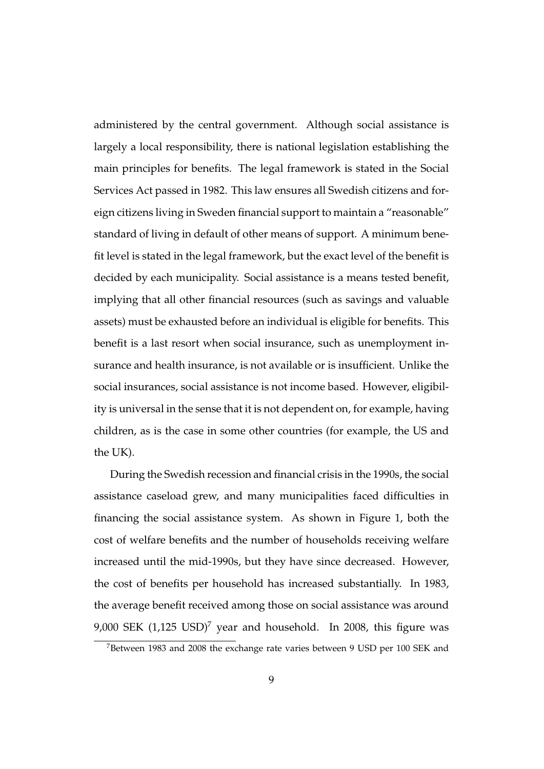administered by the central government. Although social assistance is largely a local responsibility, there is national legislation establishing the main principles for benefits. The legal framework is stated in the Social Services Act passed in 1982. This law ensures all Swedish citizens and foreign citizens living in Sweden financial support to maintain a "reasonable" standard of living in default of other means of support. A minimum benefit level is stated in the legal framework, but the exact level of the benefit is decided by each municipality. Social assistance is a means tested benefit, implying that all other financial resources (such as savings and valuable assets) must be exhausted before an individual is eligible for benefits. This benefit is a last resort when social insurance, such as unemployment insurance and health insurance, is not available or is insufficient. Unlike the social insurances, social assistance is not income based. However, eligibility is universal in the sense that it is not dependent on, for example, having children, as is the case in some other countries (for example, the US and the UK).

During the Swedish recession and financial crisis in the 1990s, the social assistance caseload grew, and many municipalities faced difficulties in financing the social assistance system. As shown in Figure 1, both the cost of welfare benefits and the number of households receiving welfare increased until the mid-1990s, but they have since decreased. However, the cost of benefits per household has increased substantially. In 1983, the average benefit received among those on social assistance was around 9,000 SEK  $(1,125 \text{ USD})^7$  year and household. In 2008, this figure was

<sup>&</sup>lt;sup>7</sup>Between 1983 and 2008 the exchange rate varies between 9 USD per 100 SEK and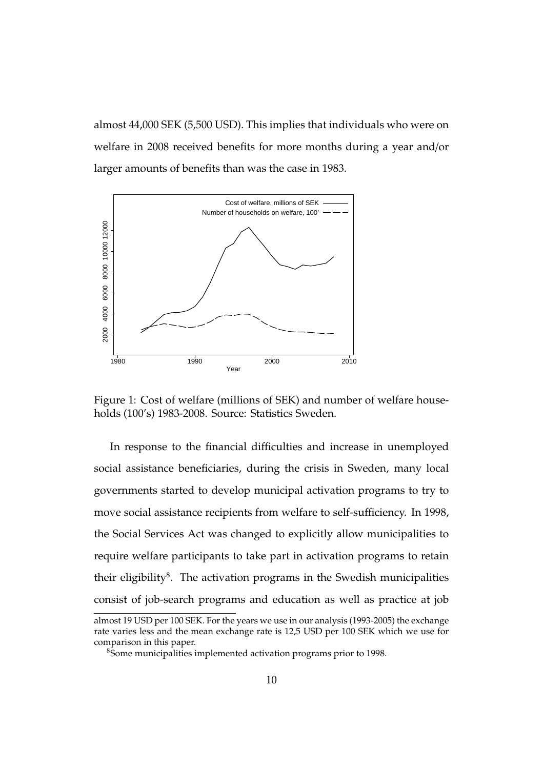almost 44,000 SEK (5,500 USD). This implies that individuals who were on welfare in 2008 received benefits for more months during a year and/or larger amounts of benefits than was the case in 1983.



Figure 1: Cost of welfare (millions of SEK) and number of welfare households (100's) 1983-2008. Source: Statistics Sweden.

In response to the financial difficulties and increase in unemployed social assistance beneficiaries, during the crisis in Sweden, many local governments started to develop municipal activation programs to try to move social assistance recipients from welfare to self-sufficiency. In 1998, the Social Services Act was changed to explicitly allow municipalities to require welfare participants to take part in activation programs to retain their eligibility ${}^{8}$ . The activation programs in the Swedish municipalities consist of job-search programs and education as well as practice at job

almost 19 USD per 100 SEK. For the years we use in our analysis (1993-2005) the exchange rate varies less and the mean exchange rate is 12,5 USD per 100 SEK which we use for comparison in this paper.

<sup>&</sup>lt;sup>8</sup>Some municipalities implemented activation programs prior to 1998.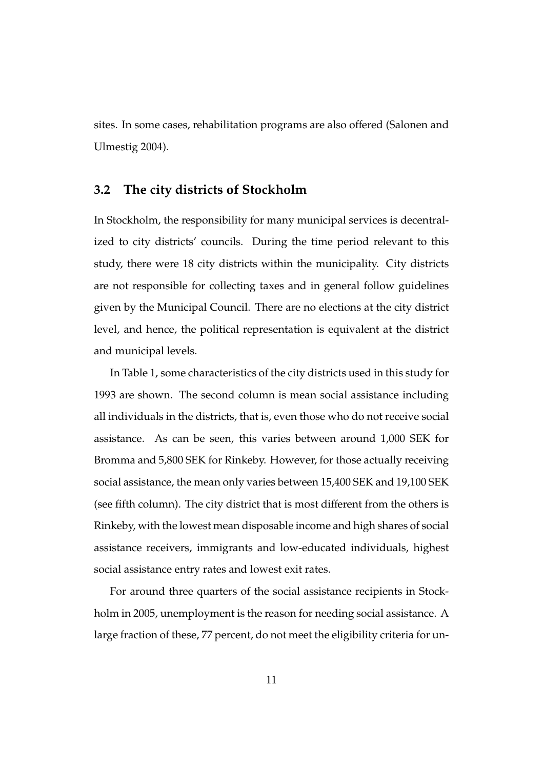sites. In some cases, rehabilitation programs are also offered (Salonen and Ulmestig 2004).

#### **3.2 The city districts of Stockholm**

In Stockholm, the responsibility for many municipal services is decentralized to city districts' councils. During the time period relevant to this study, there were 18 city districts within the municipality. City districts are not responsible for collecting taxes and in general follow guidelines given by the Municipal Council. There are no elections at the city district level, and hence, the political representation is equivalent at the district and municipal levels.

In Table 1, some characteristics of the city districts used in this study for 1993 are shown. The second column is mean social assistance including all individuals in the districts, that is, even those who do not receive social assistance. As can be seen, this varies between around 1,000 SEK for Bromma and 5,800 SEK for Rinkeby. However, for those actually receiving social assistance, the mean only varies between 15,400 SEK and 19,100 SEK (see fifth column). The city district that is most different from the others is Rinkeby, with the lowest mean disposable income and high shares of social assistance receivers, immigrants and low-educated individuals, highest social assistance entry rates and lowest exit rates.

For around three quarters of the social assistance recipients in Stockholm in 2005, unemployment is the reason for needing social assistance. A large fraction of these, 77 percent, do not meet the eligibility criteria for un-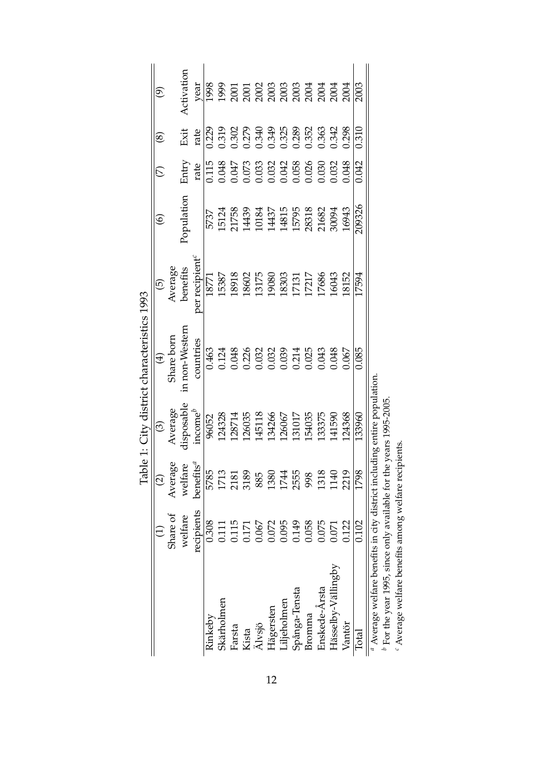|                                                                       |            |                    |                                      | Table 1: City district characteristics 1993                                                                                                |                                                                                   |                                           |                                                                                                                                                                                                                  |                                                    |                                                           |
|-----------------------------------------------------------------------|------------|--------------------|--------------------------------------|--------------------------------------------------------------------------------------------------------------------------------------------|-----------------------------------------------------------------------------------|-------------------------------------------|------------------------------------------------------------------------------------------------------------------------------------------------------------------------------------------------------------------|----------------------------------------------------|-----------------------------------------------------------|
|                                                                       |            | $\widehat{c}$      | $\widehat{\mathfrak{S}}$             | $\bigoplus$                                                                                                                                | $\widehat{\Theta}$                                                                | $\widehat{\circ}$                         |                                                                                                                                                                                                                  | @                                                  | $\widehat{e}$                                             |
|                                                                       | Share of   | Avera              | Average                              | Share born                                                                                                                                 | Average                                                                           |                                           |                                                                                                                                                                                                                  |                                                    |                                                           |
|                                                                       | welfare    | Average<br>welfare | disposable                           | in non-Western                                                                                                                             | benefits                                                                          | Population                                | Entry                                                                                                                                                                                                            | Exit                                               | Activation                                                |
|                                                                       | recipients | benefits $\real^d$ | $income^b$                           | countries                                                                                                                                  | per recipient <sup>c</sup>                                                        |                                           | rate                                                                                                                                                                                                             | rate                                               | year                                                      |
| Rinkeby                                                               | 0.308      | 5785               | 96052                                |                                                                                                                                            | 18771                                                                             | 5737                                      |                                                                                                                                                                                                                  | 0.229                                              | 1998                                                      |
| Skärholmen                                                            | 0.111      | 1713               | 124328                               |                                                                                                                                            | 15387                                                                             |                                           |                                                                                                                                                                                                                  |                                                    |                                                           |
| Farsta                                                                | 0.115      | 2181               | 128714                               |                                                                                                                                            | 18918                                                                             |                                           |                                                                                                                                                                                                                  |                                                    |                                                           |
| Kista                                                                 | 0.171      | 3189               | 126035<br>145118                     |                                                                                                                                            |                                                                                   | 15124<br>21758<br>14139<br>10184          |                                                                                                                                                                                                                  |                                                    |                                                           |
| Älvsjö                                                                | 0.067      | 885                |                                      |                                                                                                                                            |                                                                                   |                                           |                                                                                                                                                                                                                  |                                                    |                                                           |
| Hägersten                                                             | 0.072      | 1380               |                                      |                                                                                                                                            |                                                                                   |                                           |                                                                                                                                                                                                                  |                                                    |                                                           |
| Liljeholmen                                                           | 0.095      | 1744               |                                      |                                                                                                                                            |                                                                                   |                                           |                                                                                                                                                                                                                  |                                                    |                                                           |
| Spånga-Tensta                                                         | 0.149      | 2555               | 134266<br>126067<br>131017<br>154035 |                                                                                                                                            | $\begin{array}{c} 18602 \\ 13175 \\ 19080 \\ 18303 \\ 17131 \\ 17217 \end{array}$ |                                           |                                                                                                                                                                                                                  |                                                    |                                                           |
| Bromma                                                                | 0.058      | 998                |                                      | $\begin{array}{l} 0.463 \\ 0.124 \\ 0.048 \\ 0.032 \\ 0.032 \\ 0.032 \\ 0.033 \\ 0.034 \\ 0.043 \\ 0.043 \\ 0.043 \\ 0.043 \\ \end{array}$ |                                                                                   | 14437<br>14815<br>15795<br>28318<br>21682 | $\begin{array}{r} 1115 \\ 1116 \\ 0.048 \\ 0.073 \\ 0.033 \\ 0.033 \\ 0.032 \\ 0.048 \\ 0.033 \\ 0.032 \\ 0.033 \\ 0.033 \\ 0.034 \\ 0.036 \\ 0.033 \\ 0.034 \\ 0.036 \\ 0.038 \\ 0.033 \\ 0.048 \\ \end{array}$ | 0.319<br>0.302<br>0.349<br>0.349<br>0.363<br>0.363 | 999<br>2001 02003<br>2002 02003 02004<br>2003 02004 02004 |
| Enskede-Årsta                                                         | 0.075      | 1318               | 133375                               |                                                                                                                                            | 17686                                                                             |                                           |                                                                                                                                                                                                                  |                                                    |                                                           |
| Hässelby-Vällingby                                                    | 0.071      | 1140               | 141590                               | 0.048                                                                                                                                      | 16043                                                                             | 30094                                     |                                                                                                                                                                                                                  | 0.342                                              |                                                           |
| Vantör                                                                | 0.122      | 2219               | 124368                               | 0.067                                                                                                                                      | 18152                                                                             | 16943                                     |                                                                                                                                                                                                                  | 0.298                                              |                                                           |
| Total                                                                 | 0.102      | 1798               | 133960                               | 0.085                                                                                                                                      | 17594                                                                             | 209326                                    | 0.042                                                                                                                                                                                                            | 0.310                                              | 2003                                                      |
| $\alpha$ Average welfare benefits in city district incl               |            |                    | luding entire population             |                                                                                                                                            |                                                                                   |                                           |                                                                                                                                                                                                                  |                                                    |                                                           |
| $^b$ For the year 1995, since only available for the years 1995-2005. |            |                    |                                      |                                                                                                                                            |                                                                                   |                                           |                                                                                                                                                                                                                  |                                                    |                                                           |
| $-16$ and $-16$<br>$\sim$                                             |            | $\frac{1}{2}$      |                                      |                                                                                                                                            |                                                                                   |                                           |                                                                                                                                                                                                                  |                                                    |                                                           |

Table 1: City district characteristics 1993

Average welfare benefits among welfare recipients.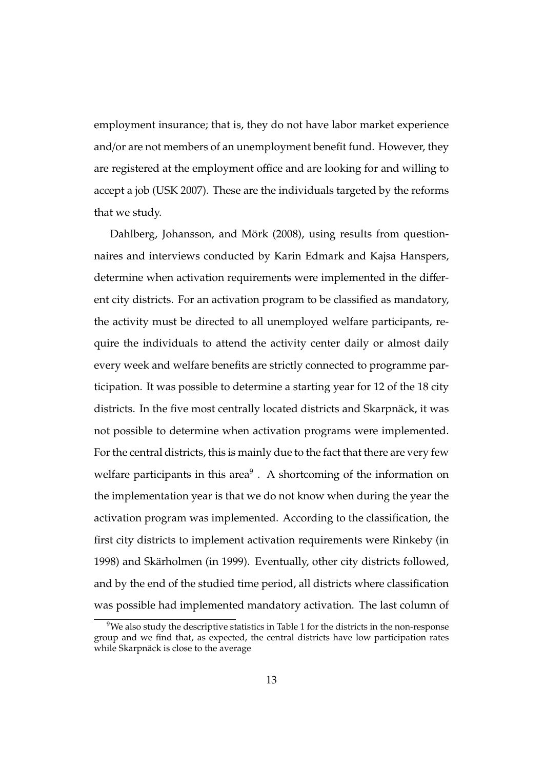employment insurance; that is, they do not have labor market experience and/or are not members of an unemployment benefit fund. However, they are registered at the employment office and are looking for and willing to accept a job (USK 2007). These are the individuals targeted by the reforms that we study.

Dahlberg, Johansson, and Mörk (2008), using results from questionnaires and interviews conducted by Karin Edmark and Kajsa Hanspers, determine when activation requirements were implemented in the different city districts. For an activation program to be classified as mandatory, the activity must be directed to all unemployed welfare participants, require the individuals to attend the activity center daily or almost daily every week and welfare benefits are strictly connected to programme participation. It was possible to determine a starting year for 12 of the 18 city districts. In the five most centrally located districts and Skarpnäck, it was not possible to determine when activation programs were implemented. For the central districts, this is mainly due to the fact that there are very few welfare participants in this area $^9$  . A shortcoming of the information on the implementation year is that we do not know when during the year the activation program was implemented. According to the classification, the first city districts to implement activation requirements were Rinkeby (in 1998) and Skärholmen (in 1999). Eventually, other city districts followed, and by the end of the studied time period, all districts where classification was possible had implemented mandatory activation. The last column of

 $9$ We also study the descriptive statistics in Table 1 for the districts in the non-response group and we find that, as expected, the central districts have low participation rates while Skarpnäck is close to the average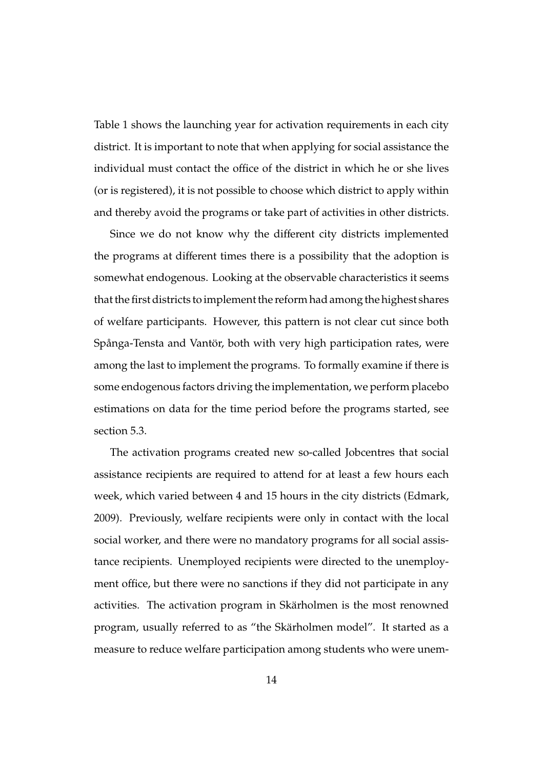Table 1 shows the launching year for activation requirements in each city district. It is important to note that when applying for social assistance the individual must contact the office of the district in which he or she lives (or is registered), it is not possible to choose which district to apply within and thereby avoid the programs or take part of activities in other districts.

Since we do not know why the different city districts implemented the programs at different times there is a possibility that the adoption is somewhat endogenous. Looking at the observable characteristics it seems that the first districts to implement the reform had among the highest shares of welfare participants. However, this pattern is not clear cut since both Spånga-Tensta and Vantör, both with very high participation rates, were among the last to implement the programs. To formally examine if there is some endogenous factors driving the implementation, we perform placebo estimations on data for the time period before the programs started, see section 5.3.

The activation programs created new so-called Jobcentres that social assistance recipients are required to attend for at least a few hours each week, which varied between 4 and 15 hours in the city districts (Edmark, 2009). Previously, welfare recipients were only in contact with the local social worker, and there were no mandatory programs for all social assistance recipients. Unemployed recipients were directed to the unemployment office, but there were no sanctions if they did not participate in any activities. The activation program in Skärholmen is the most renowned program, usually referred to as "the Skärholmen model". It started as a measure to reduce welfare participation among students who were unem-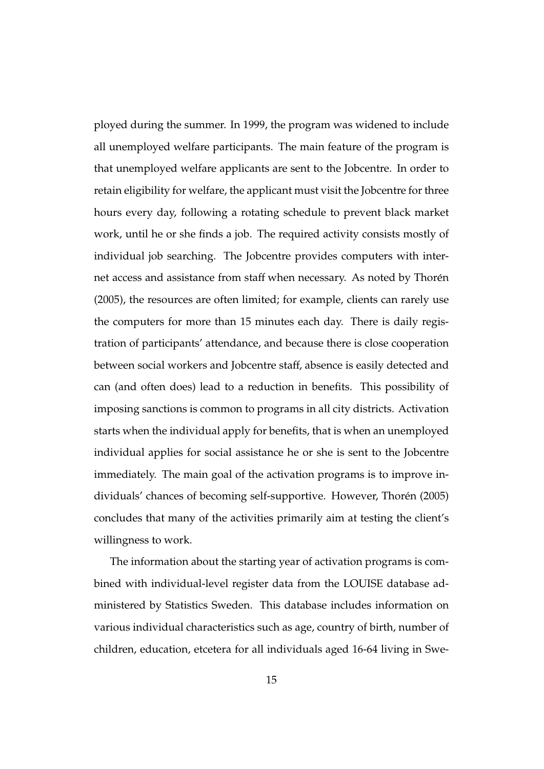ployed during the summer. In 1999, the program was widened to include all unemployed welfare participants. The main feature of the program is that unemployed welfare applicants are sent to the Jobcentre. In order to retain eligibility for welfare, the applicant must visit the Jobcentre for three hours every day, following a rotating schedule to prevent black market work, until he or she finds a job. The required activity consists mostly of individual job searching. The Jobcentre provides computers with internet access and assistance from staff when necessary. As noted by Thorén (2005), the resources are often limited; for example, clients can rarely use the computers for more than 15 minutes each day. There is daily registration of participants' attendance, and because there is close cooperation between social workers and Jobcentre staff, absence is easily detected and can (and often does) lead to a reduction in benefits. This possibility of imposing sanctions is common to programs in all city districts. Activation starts when the individual apply for benefits, that is when an unemployed individual applies for social assistance he or she is sent to the Jobcentre immediately. The main goal of the activation programs is to improve individuals' chances of becoming self-supportive. However, Thorén (2005) concludes that many of the activities primarily aim at testing the client's willingness to work.

The information about the starting year of activation programs is combined with individual-level register data from the LOUISE database administered by Statistics Sweden. This database includes information on various individual characteristics such as age, country of birth, number of children, education, etcetera for all individuals aged 16-64 living in Swe-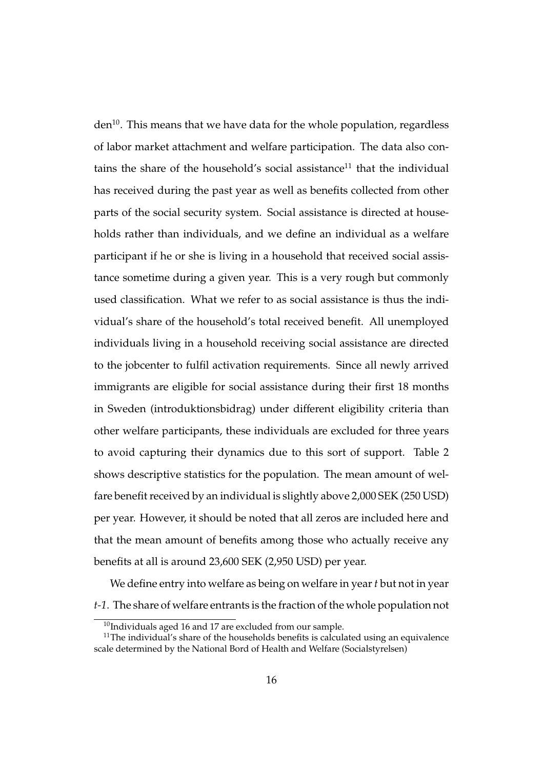$den<sup>10</sup>$ . This means that we have data for the whole population, regardless of labor market attachment and welfare participation. The data also contains the share of the household's social assistance<sup>11</sup> that the individual has received during the past year as well as benefits collected from other parts of the social security system. Social assistance is directed at households rather than individuals, and we define an individual as a welfare participant if he or she is living in a household that received social assistance sometime during a given year. This is a very rough but commonly used classification. What we refer to as social assistance is thus the individual's share of the household's total received benefit. All unemployed individuals living in a household receiving social assistance are directed to the jobcenter to fulfil activation requirements. Since all newly arrived immigrants are eligible for social assistance during their first 18 months in Sweden (introduktionsbidrag) under different eligibility criteria than other welfare participants, these individuals are excluded for three years to avoid capturing their dynamics due to this sort of support. Table 2 shows descriptive statistics for the population. The mean amount of welfare benefit received by an individual is slightly above 2,000 SEK (250 USD) per year. However, it should be noted that all zeros are included here and that the mean amount of benefits among those who actually receive any benefits at all is around 23,600 SEK (2,950 USD) per year.

We define entry into welfare as being on welfare in year*t* but not in year *t-1*. The share of welfare entrants is the fraction of the whole population not

 $10$ Individuals aged 16 and 17 are excluded from our sample.

<sup>&</sup>lt;sup>11</sup>The individual's share of the households benefits is calculated using an equivalence scale determined by the National Bord of Health and Welfare (Socialstyrelsen)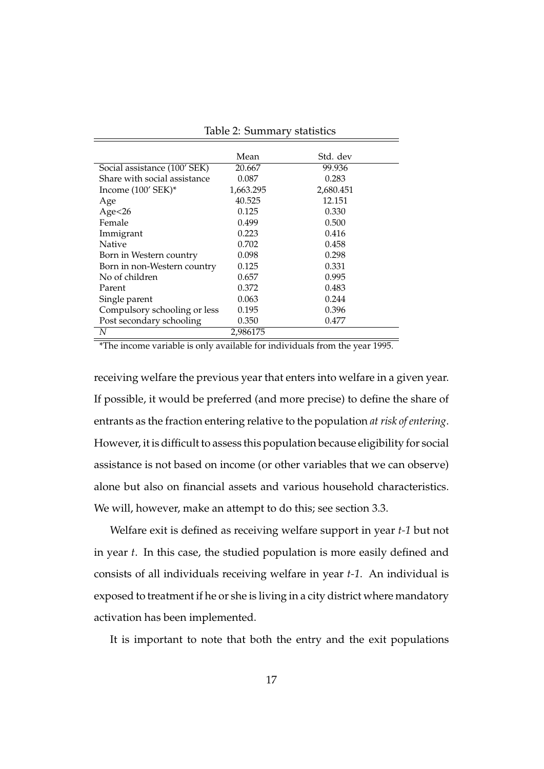|                              | Mean      | Std. dev  |
|------------------------------|-----------|-----------|
| Social assistance (100' SEK) | 20.667    | 99.936    |
| Share with social assistance | 0.087     | 0.283     |
| Income $(100'$ SEK $)^*$     | 1,663.295 | 2,680.451 |
| Age                          | 40.525    | 12.151    |
| Age < 26                     | 0.125     | 0.330     |
| Female                       | 0.499     | 0.500     |
| Immigrant                    | 0.223     | 0.416     |
| <b>Native</b>                | 0.702     | 0.458     |
| Born in Western country      | 0.098     | 0.298     |
| Born in non-Western country  | 0.125     | 0.331     |
| No of children               | 0.657     | 0.995     |
| Parent                       | 0.372     | 0.483     |
| Single parent                | 0.063     | 0.244     |
| Compulsory schooling or less | 0.195     | 0.396     |
| Post secondary schooling     | 0.350     | 0.477     |
| N                            | 2.986175  |           |

Table 2: Summary statistics

\*The income variable is only available for individuals from the year 1995.

receiving welfare the previous year that enters into welfare in a given year. If possible, it would be preferred (and more precise) to define the share of entrants as the fraction entering relative to the population *at risk of entering*. However, it is difficult to assess this population because eligibility for social assistance is not based on income (or other variables that we can observe) alone but also on financial assets and various household characteristics. We will, however, make an attempt to do this; see section 3.3.

Welfare exit is defined as receiving welfare support in year *t-1* but not in year *t*. In this case, the studied population is more easily defined and consists of all individuals receiving welfare in year *t-1*. An individual is exposed to treatment if he or she is living in a city district where mandatory activation has been implemented.

It is important to note that both the entry and the exit populations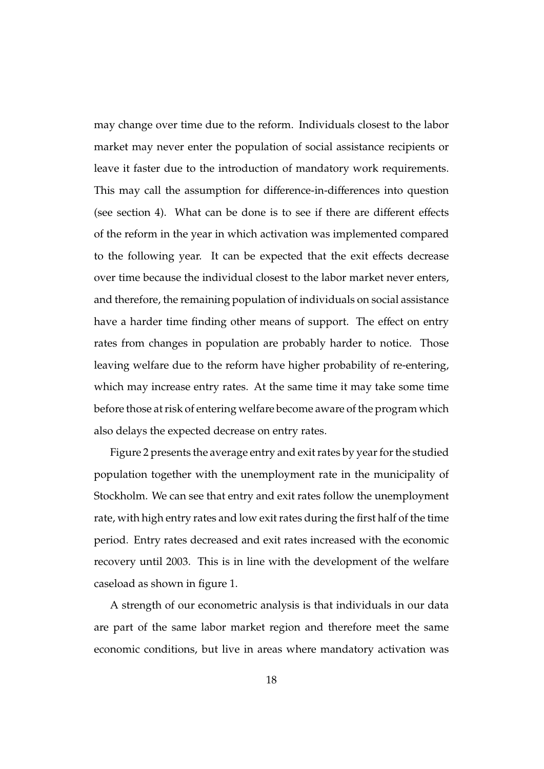may change over time due to the reform. Individuals closest to the labor market may never enter the population of social assistance recipients or leave it faster due to the introduction of mandatory work requirements. This may call the assumption for difference-in-differences into question (see section 4). What can be done is to see if there are different effects of the reform in the year in which activation was implemented compared to the following year. It can be expected that the exit effects decrease over time because the individual closest to the labor market never enters, and therefore, the remaining population of individuals on social assistance have a harder time finding other means of support. The effect on entry rates from changes in population are probably harder to notice. Those leaving welfare due to the reform have higher probability of re-entering, which may increase entry rates. At the same time it may take some time before those at risk of entering welfare become aware of the program which also delays the expected decrease on entry rates.

Figure 2 presents the average entry and exit rates by year for the studied population together with the unemployment rate in the municipality of Stockholm. We can see that entry and exit rates follow the unemployment rate, with high entry rates and low exit rates during the first half of the time period. Entry rates decreased and exit rates increased with the economic recovery until 2003. This is in line with the development of the welfare caseload as shown in figure 1.

A strength of our econometric analysis is that individuals in our data are part of the same labor market region and therefore meet the same economic conditions, but live in areas where mandatory activation was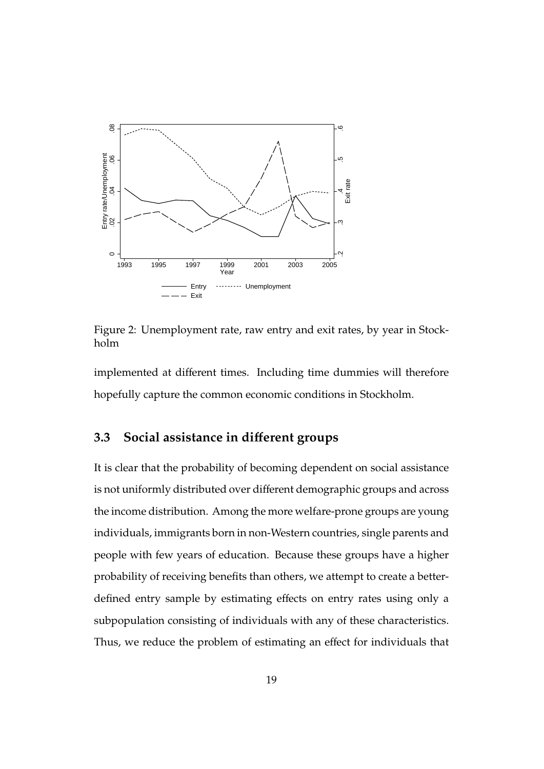

Figure 2: Unemployment rate, raw entry and exit rates, by year in Stockholm

implemented at different times. Including time dummies will therefore hopefully capture the common economic conditions in Stockholm.

## **3.3 Social assistance in di**ff**erent groups**

It is clear that the probability of becoming dependent on social assistance is not uniformly distributed over different demographic groups and across the income distribution. Among the more welfare-prone groups are young individuals, immigrants born in non-Western countries, single parents and people with few years of education. Because these groups have a higher probability of receiving benefits than others, we attempt to create a betterdefined entry sample by estimating effects on entry rates using only a subpopulation consisting of individuals with any of these characteristics. Thus, we reduce the problem of estimating an effect for individuals that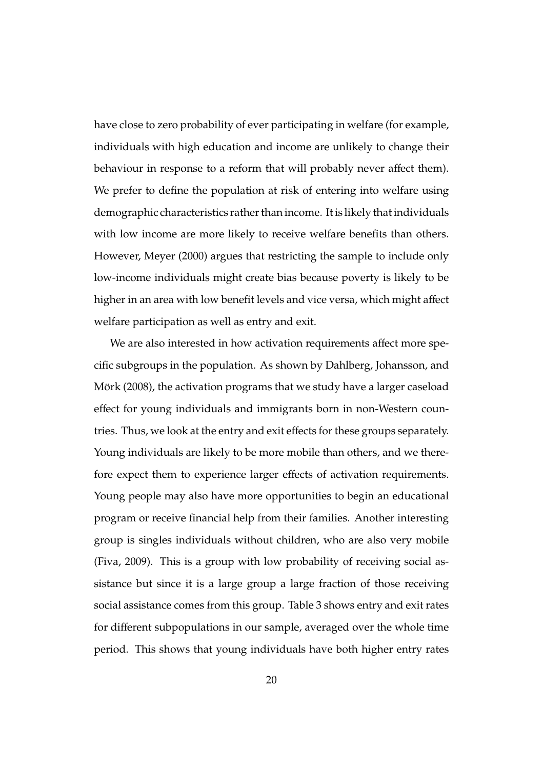have close to zero probability of ever participating in welfare (for example, individuals with high education and income are unlikely to change their behaviour in response to a reform that will probably never affect them). We prefer to define the population at risk of entering into welfare using demographic characteristics rather than income. It is likely that individuals with low income are more likely to receive welfare benefits than others. However, Meyer (2000) argues that restricting the sample to include only low-income individuals might create bias because poverty is likely to be higher in an area with low benefit levels and vice versa, which might affect welfare participation as well as entry and exit.

We are also interested in how activation requirements affect more specific subgroups in the population. As shown by Dahlberg, Johansson, and Mörk (2008), the activation programs that we study have a larger caseload effect for young individuals and immigrants born in non-Western countries. Thus, we look at the entry and exit effects for these groups separately. Young individuals are likely to be more mobile than others, and we therefore expect them to experience larger effects of activation requirements. Young people may also have more opportunities to begin an educational program or receive financial help from their families. Another interesting group is singles individuals without children, who are also very mobile (Fiva, 2009). This is a group with low probability of receiving social assistance but since it is a large group a large fraction of those receiving social assistance comes from this group. Table 3 shows entry and exit rates for different subpopulations in our sample, averaged over the whole time period. This shows that young individuals have both higher entry rates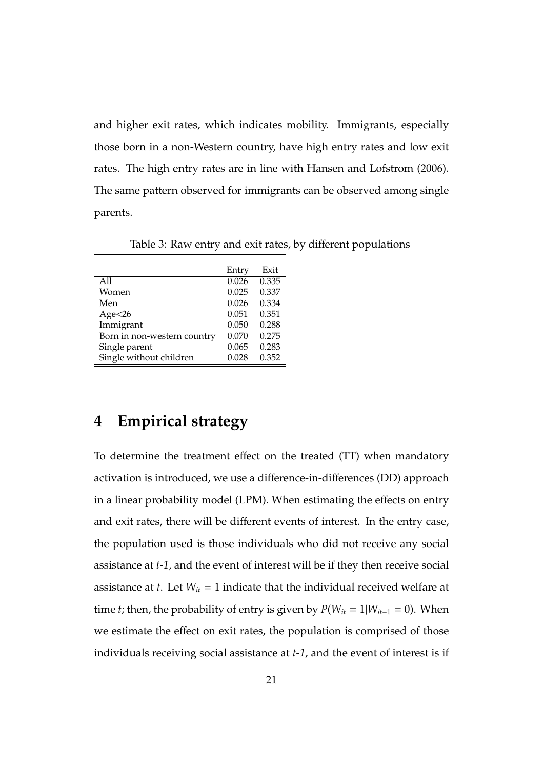and higher exit rates, which indicates mobility. Immigrants, especially those born in a non-Western country, have high entry rates and low exit rates. The high entry rates are in line with Hansen and Lofstrom (2006). The same pattern observed for immigrants can be observed among single parents.

|                             | Entry | Exit  |
|-----------------------------|-------|-------|
| All                         | 0.026 | 0.335 |
| Women                       | 0.025 | 0.337 |
| Men                         | 0.026 | 0.334 |
| Age<26                      | 0.051 | 0.351 |
| Immigrant                   | 0.050 | 0.288 |
| Born in non-western country | 0.070 | 0.275 |
| Single parent               | 0.065 | 0.283 |
| Single without children     | 0.028 | 0.352 |

Table 3: Raw entry and exit rates, by different populations

# **4 Empirical strategy**

To determine the treatment effect on the treated (TT) when mandatory activation is introduced, we use a difference-in-differences (DD) approach in a linear probability model (LPM). When estimating the effects on entry and exit rates, there will be different events of interest. In the entry case, the population used is those individuals who did not receive any social assistance at *t-1*, and the event of interest will be if they then receive social assistance at  $t$ . Let  $W_{it} = 1$  indicate that the individual received welfare at time *t*; then, the probability of entry is given by  $P(W_{it} = 1 | W_{it-1} = 0)$ . When we estimate the effect on exit rates, the population is comprised of those individuals receiving social assistance at *t-1*, and the event of interest is if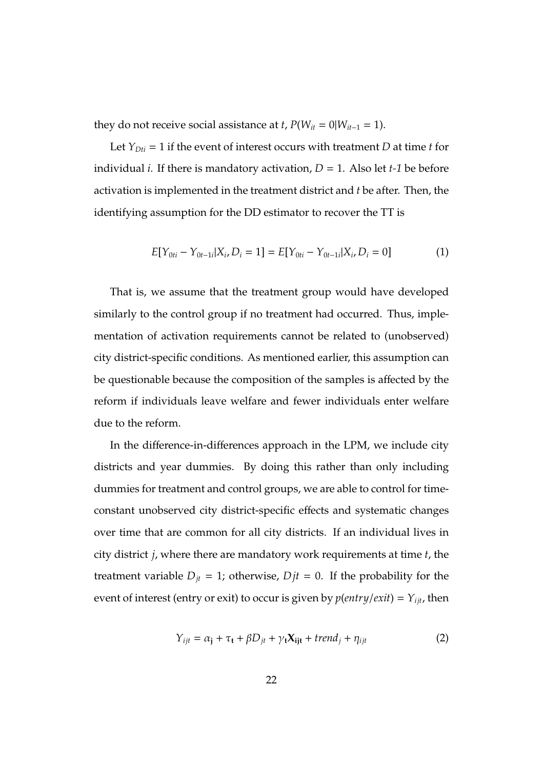they do not receive social assistance at *t*,  $P(W_{it} = 0 | W_{it-1} = 1)$ .

Let  $Y_{Dti} = 1$  if the event of interest occurs with treatment *D* at time *t* for individual *i*. If there is mandatory activation,  $D = 1$ . Also let *t*-1 be before activation is implemented in the treatment district and *t* be after. Then, the identifying assumption for the DD estimator to recover the TT is

$$
E[Y_{0ti} - Y_{0t-1i}|X_i, D_i = 1] = E[Y_{0ti} - Y_{0t-1i}|X_i, D_i = 0]
$$
\n(1)

That is, we assume that the treatment group would have developed similarly to the control group if no treatment had occurred. Thus, implementation of activation requirements cannot be related to (unobserved) city district-specific conditions. As mentioned earlier, this assumption can be questionable because the composition of the samples is affected by the reform if individuals leave welfare and fewer individuals enter welfare due to the reform.

In the difference-in-differences approach in the LPM, we include city districts and year dummies. By doing this rather than only including dummies for treatment and control groups, we are able to control for timeconstant unobserved city district-specific effects and systematic changes over time that are common for all city districts. If an individual lives in city district *j*, where there are mandatory work requirements at time *t*, the treatment variable  $D_{it} = 1$ ; otherwise,  $Djt = 0$ . If the probability for the event of interest (entry or exit) to occur is given by  $p(entry/exit) = Y_{ijt}$ , then

$$
Y_{ijt} = \alpha_j + \tau_t + \beta D_{jt} + \gamma_t X_{ijt} + trend_j + \eta_{ijt}
$$
 (2)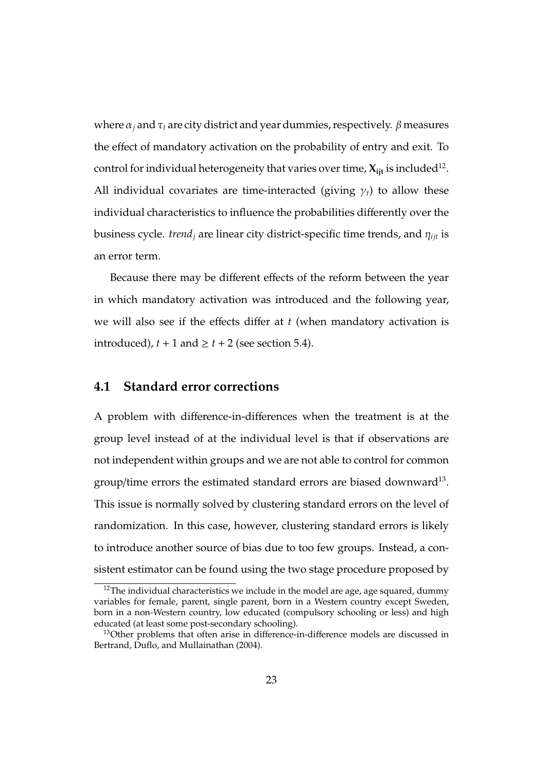where  $\alpha_i$  and  $\tau_t$  are city district and year dummies, respectively.  $\beta$  measures the effect of mandatory activation on the probability of entry and exit. To control for individual heterogeneity that varies over time,  $\boldsymbol{X_{ijt}}$  is included $^{12}$ . All individual covariates are time-interacted (giving  $\gamma_t$ ) to allow these individual characteristics to influence the probabilities differently over the business cycle. *trend<sub>i</sub>* are linear city district-specific time trends, and  $\eta_{\text{ijt}}$  is an error term.

Because there may be different effects of the reform between the year in which mandatory activation was introduced and the following year, we will also see if the effects differ at *t* (when mandatory activation is introduced),  $t + 1$  and  $\ge t + 2$  (see section 5.4).

#### **4.1 Standard error corrections**

A problem with difference-in-differences when the treatment is at the group level instead of at the individual level is that if observations are not independent within groups and we are not able to control for common group/time errors the estimated standard errors are biased downward<sup>13</sup>. This issue is normally solved by clustering standard errors on the level of randomization. In this case, however, clustering standard errors is likely to introduce another source of bias due to too few groups. Instead, a consistent estimator can be found using the two stage procedure proposed by

 $12$ The individual characteristics we include in the model are age, age squared, dummy variables for female, parent, single parent, born in a Western country except Sweden, born in a non-Western country, low educated (compulsory schooling or less) and high educated (at least some post-secondary schooling).

<sup>&</sup>lt;sup>13</sup>Other problems that often arise in difference-in-difference models are discussed in Bertrand, Duflo, and Mullainathan (2004).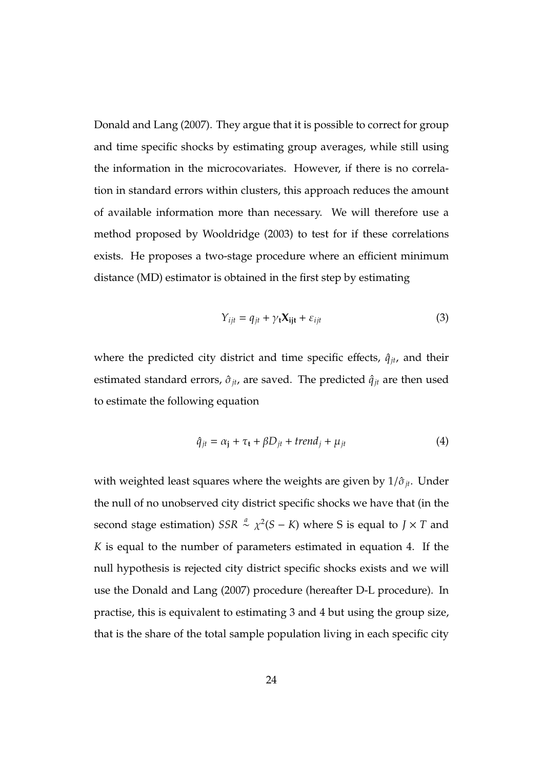Donald and Lang (2007). They argue that it is possible to correct for group and time specific shocks by estimating group averages, while still using the information in the microcovariates. However, if there is no correlation in standard errors within clusters, this approach reduces the amount of available information more than necessary. We will therefore use a method proposed by Wooldridge (2003) to test for if these correlations exists. He proposes a two-stage procedure where an efficient minimum distance (MD) estimator is obtained in the first step by estimating

$$
Y_{ijt} = q_{jt} + \gamma_t \mathbf{X_{ijt}} + \varepsilon_{ijt}
$$
 (3)

where the predicted city district and time specific effects,  $\hat{q}_{jt}$ , and their estimated standard errors,  $\hat{\sigma}_{jt}$ , are saved. The predicted  $\hat{q}_{jt}$  are then used to estimate the following equation

$$
\hat{q}_{jt} = \alpha_j + \tau_t + \beta D_{jt} + trend_j + \mu_{jt} \tag{4}
$$

with weighted least squares where the weights are given by  $1/\hat{\sigma}_{it}$ . Under the null of no unobserved city district specific shocks we have that (in the second stage estimation)  $SSR \overset{a}{\sim} \chi^2(S - K)$  where S is equal to  $J \times T$  and *K* is equal to the number of parameters estimated in equation 4. If the null hypothesis is rejected city district specific shocks exists and we will use the Donald and Lang (2007) procedure (hereafter D-L procedure). In practise, this is equivalent to estimating 3 and 4 but using the group size, that is the share of the total sample population living in each specific city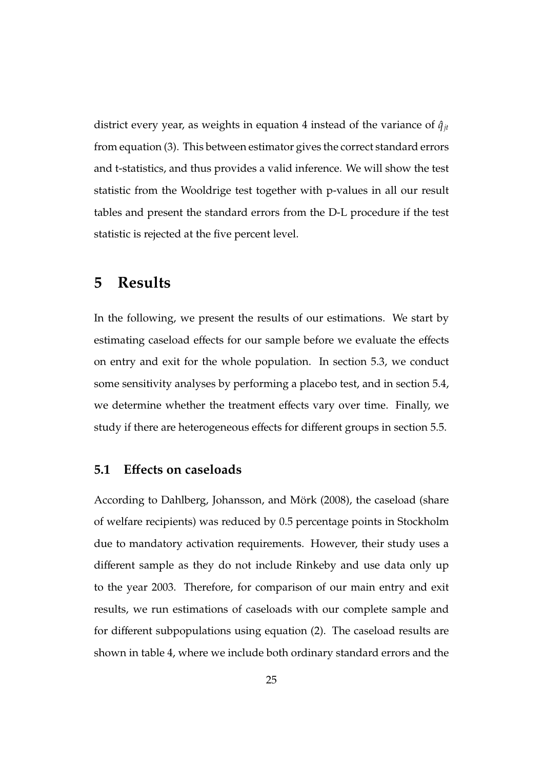district every year, as weights in equation 4 instead of the variance of  $\hat{q}_{it}$ from equation (3). This between estimator gives the correct standard errors and t-statistics, and thus provides a valid inference. We will show the test statistic from the Wooldrige test together with p-values in all our result tables and present the standard errors from the D-L procedure if the test statistic is rejected at the five percent level.

# **5 Results**

In the following, we present the results of our estimations. We start by estimating caseload effects for our sample before we evaluate the effects on entry and exit for the whole population. In section 5.3, we conduct some sensitivity analyses by performing a placebo test, and in section 5.4, we determine whether the treatment effects vary over time. Finally, we study if there are heterogeneous effects for different groups in section 5.5.

#### **5.1 E**ff**ects on caseloads**

According to Dahlberg, Johansson, and Mörk (2008), the caseload (share of welfare recipients) was reduced by 0.5 percentage points in Stockholm due to mandatory activation requirements. However, their study uses a different sample as they do not include Rinkeby and use data only up to the year 2003. Therefore, for comparison of our main entry and exit results, we run estimations of caseloads with our complete sample and for different subpopulations using equation (2). The caseload results are shown in table 4, where we include both ordinary standard errors and the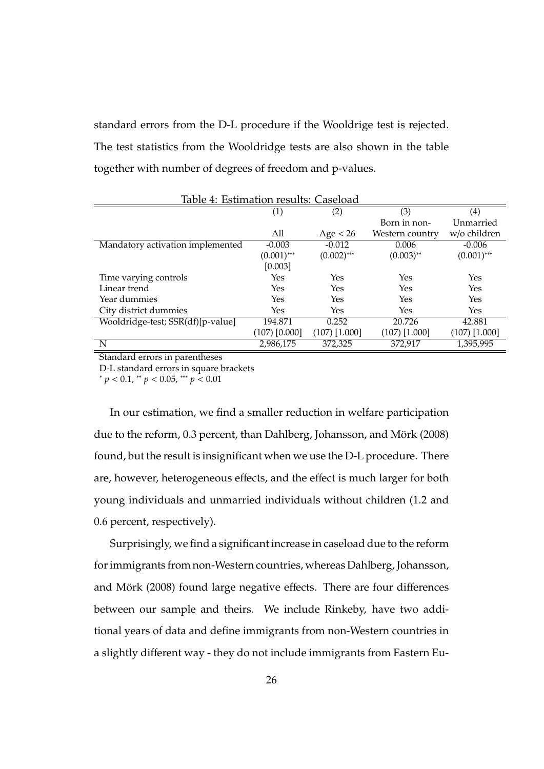standard errors from the D-L procedure if the Wooldrige test is rejected. The test statistics from the Wooldridge tests are also shown in the table together with number of degrees of freedom and p-values.

| Table 4: Estimation results: Caseload |                   |                 |                 |                 |  |
|---------------------------------------|-------------------|-----------------|-----------------|-----------------|--|
|                                       | $\left( 1\right)$ | (2)             | (3)             | (4)             |  |
|                                       |                   |                 | Born in non-    | Unmarried       |  |
|                                       | All               | Age < 26        | Western country | w/o children    |  |
| Mandatory activation implemented      | $-0.003$          | $-0.012$        | 0.006           | $-0.006$        |  |
|                                       | $(0.001)$ ***     | $(0.002)$ ***   | $(0.003)$ **    | $(0.001)$ ***   |  |
|                                       | [0.003]           |                 |                 |                 |  |
| Time varying controls                 | Yes               | Yes             | Yes             | Yes             |  |
| Linear trend                          | Yes               | Yes             | Yes             | Yes             |  |
| Year dummies                          | Yes               | Yes             | Yes             | Yes             |  |
| City district dummies                 | Yes               | Yes             | Yes             | Yes             |  |
| Wooldridge-test; SSR(df)[p-value]     | 194.871           | 0.252           | 20.726          | 42.881          |  |
|                                       | $(107)$ $[0.000]$ | $(107)$ [1.000] | $(107)$ [1.000] | $(107)$ [1.000] |  |
| N                                     | 2,986,175         | 372,325         | 372,917         | 1,395,995       |  |

Standard errors in parentheses

D-L standard errors in square brackets

<sup>∗</sup> *p* < 0.1, ∗∗ *p* < 0.05, ∗∗∗ *p* < 0.01

In our estimation, we find a smaller reduction in welfare participation due to the reform, 0.3 percent, than Dahlberg, Johansson, and Mörk (2008) found, but the result is insignificant when we use the D-L procedure. There are, however, heterogeneous effects, and the effect is much larger for both young individuals and unmarried individuals without children (1.2 and 0.6 percent, respectively).

Surprisingly, we find a significant increase in caseload due to the reform for immigrants from non-Western countries, whereas Dahlberg, Johansson, and Mörk (2008) found large negative effects. There are four differences between our sample and theirs. We include Rinkeby, have two additional years of data and define immigrants from non-Western countries in a slightly different way - they do not include immigrants from Eastern Eu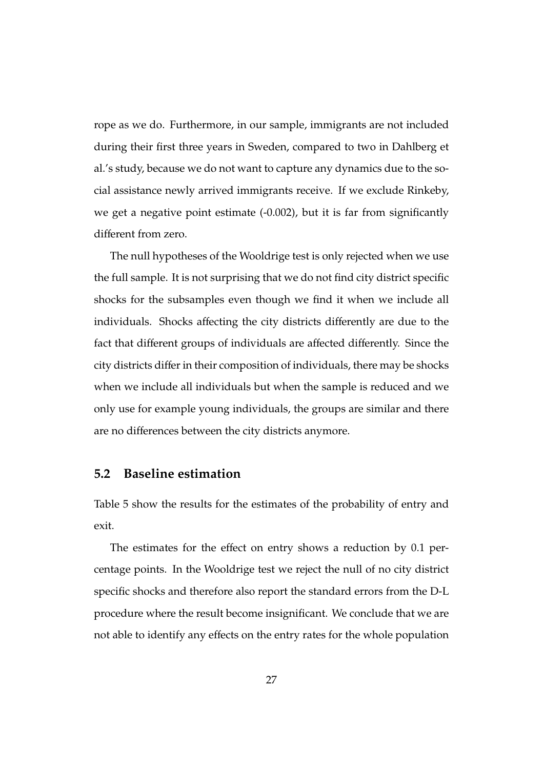rope as we do. Furthermore, in our sample, immigrants are not included during their first three years in Sweden, compared to two in Dahlberg et al.'s study, because we do not want to capture any dynamics due to the social assistance newly arrived immigrants receive. If we exclude Rinkeby, we get a negative point estimate (-0.002), but it is far from significantly different from zero.

The null hypotheses of the Wooldrige test is only rejected when we use the full sample. It is not surprising that we do not find city district specific shocks for the subsamples even though we find it when we include all individuals. Shocks affecting the city districts differently are due to the fact that different groups of individuals are affected differently. Since the city districts differ in their composition of individuals, there may be shocks when we include all individuals but when the sample is reduced and we only use for example young individuals, the groups are similar and there are no differences between the city districts anymore.

#### **5.2 Baseline estimation**

Table 5 show the results for the estimates of the probability of entry and exit.

The estimates for the effect on entry shows a reduction by 0.1 percentage points. In the Wooldrige test we reject the null of no city district specific shocks and therefore also report the standard errors from the D-L procedure where the result become insignificant. We conclude that we are not able to identify any effects on the entry rates for the whole population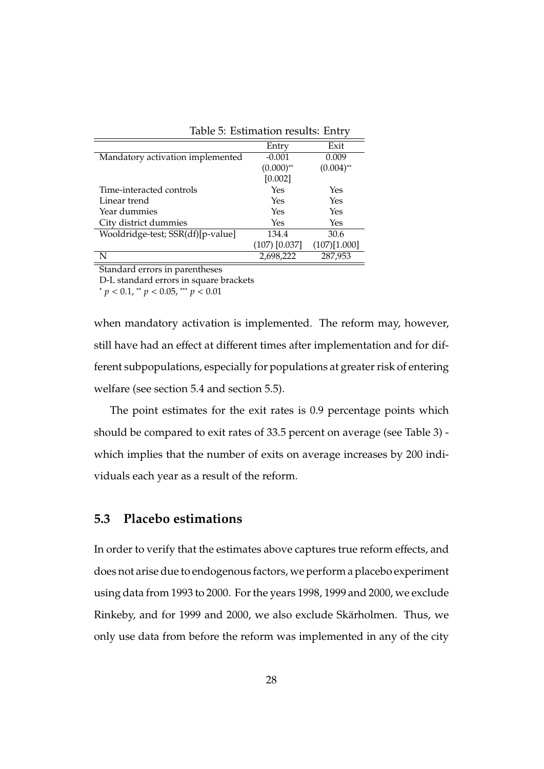| Table 5: Estimation results: Entry |                   |              |  |
|------------------------------------|-------------------|--------------|--|
|                                    | Entry             | Exit         |  |
| Mandatory activation implemented   | $-0.001$          | 0.009        |  |
|                                    | $(0.000)$ **      | $(0.004)$ ** |  |
|                                    | [0.002]           |              |  |
| Time-interacted controls           | Yes               | Yes          |  |
| Linear trend                       | Yes               | Yes          |  |
| Year dummies                       | Yes               | Yes          |  |
| City district dummies              | Yes               | Yes          |  |
| Wooldridge-test; SSR(df)[p-value]  | 134.4             | 30.6         |  |
|                                    | $(107)$ $[0.037]$ | (107)[1.000] |  |
| N                                  | 2,698,222         | 287,953      |  |

Standard errors in parentheses

D-L standard errors in square brackets

<sup>∗</sup> *p* < 0.1, ∗∗ *p* < 0.05, ∗∗∗ *p* < 0.01

when mandatory activation is implemented. The reform may, however, still have had an effect at different times after implementation and for different subpopulations, especially for populations at greater risk of entering welfare (see section 5.4 and section 5.5).

The point estimates for the exit rates is 0.9 percentage points which should be compared to exit rates of 33.5 percent on average (see Table 3) which implies that the number of exits on average increases by 200 individuals each year as a result of the reform.

### **5.3 Placebo estimations**

In order to verify that the estimates above captures true reform effects, and does not arise due to endogenous factors, we perform a placebo experiment using data from 1993 to 2000. For the years 1998, 1999 and 2000, we exclude Rinkeby, and for 1999 and 2000, we also exclude Skärholmen. Thus, we only use data from before the reform was implemented in any of the city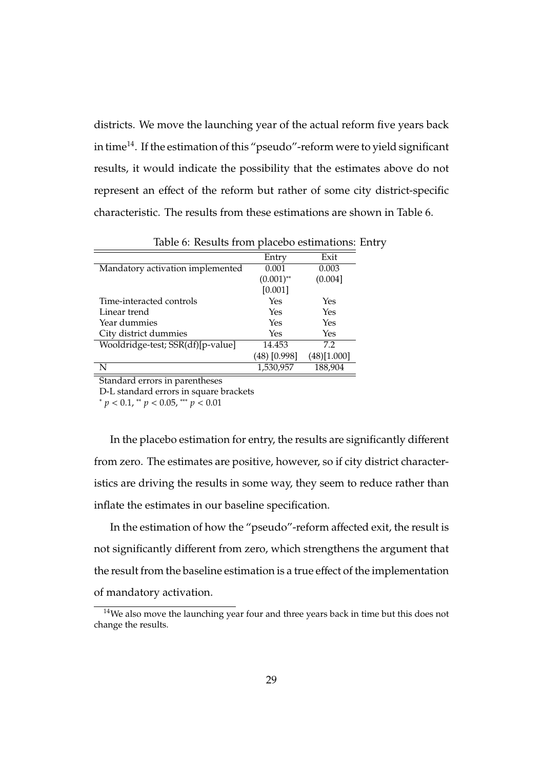districts. We move the launching year of the actual reform five years back in time<sup>14</sup>. If the estimation of this "pseudo"-reform were to yield significant results, it would indicate the possibility that the estimates above do not represent an effect of the reform but rather of some city district-specific characteristic. The results from these estimations are shown in Table 6.

|                                   | Entry        | Exit         |
|-----------------------------------|--------------|--------------|
| Mandatory activation implemented  | 0.001        | 0.003        |
|                                   | $(0.001)$ ** | (0.004]      |
|                                   | [0.001]      |              |
| Time-interacted controls          | Yes          | Yes          |
| Linear trend                      | Yes          | Yes          |
| Year dummies                      | Yes          | Yes          |
| City district dummies             | Yes          | Yes          |
| Wooldridge-test; SSR(df)[p-value] | 14.453       | 7.2          |
|                                   | (48) [0.998] | (48) [1.000] |
| N                                 | 1,530,957    | 188,904      |

Table 6: Results from placebo estimations: Entry

Standard errors in parentheses

D-L standard errors in square brackets

<sup>∗</sup> *p* < 0.1, ∗∗ *p* < 0.05, ∗∗∗ *p* < 0.01

In the placebo estimation for entry, the results are significantly different from zero. The estimates are positive, however, so if city district characteristics are driving the results in some way, they seem to reduce rather than inflate the estimates in our baseline specification.

In the estimation of how the "pseudo"-reform affected exit, the result is not significantly different from zero, which strengthens the argument that the result from the baseline estimation is a true effect of the implementation of mandatory activation.

<sup>&</sup>lt;sup>14</sup>We also move the launching year four and three years back in time but this does not change the results.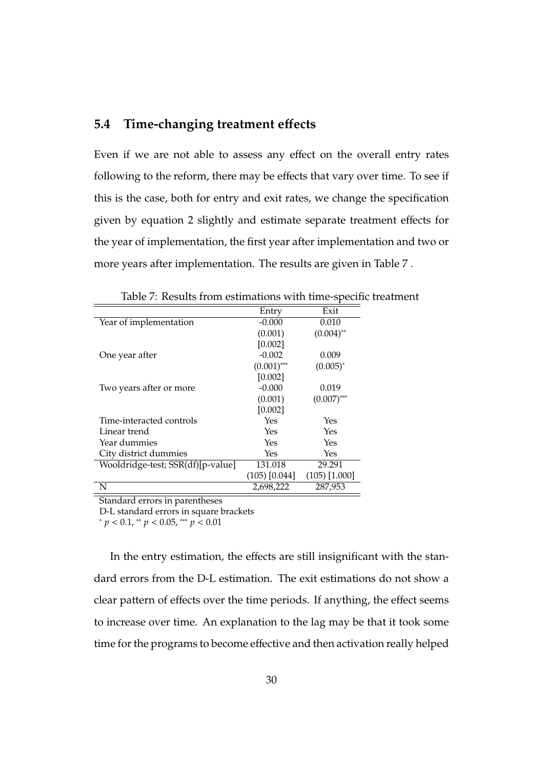### **5.4 Time-changing treatment e**ff**ects**

Even if we are not able to assess any effect on the overall entry rates following to the reform, there may be effects that vary over time. To see if this is the case, both for entry and exit rates, we change the specification given by equation 2 slightly and estimate separate treatment effects for the year of implementation, the first year after implementation and two or more years after implementation. The results are given in Table 7 .

|                                   | Entry             | Exit            |
|-----------------------------------|-------------------|-----------------|
| Year of implementation            | $-0.000$          | 0.010           |
|                                   | (0.001)           | $(0.004)$ **    |
|                                   | [0.002]           |                 |
| One year after                    | $-0.002$          | 0.009           |
|                                   | $(0.001)$ ***     | $(0.005)^{*}$   |
|                                   | [0.002]           |                 |
| Two years after or more           | $-0.000$          | 0.019           |
|                                   | (0.001)           | $(0.007)$ ***   |
|                                   | [0.002]           |                 |
| Time-interacted controls          | Yes               | Yes             |
| Linear trend                      | Yes               | Yes             |
| Year dummies                      | Yes               | Yes             |
| City district dummies             | Yes               | Yes             |
| Wooldridge-test; SSR(df)[p-value] | 131.018           | 29.291          |
|                                   | $(105)$ $[0.044]$ | $(105)$ [1.000] |
| N                                 | 2,698,222         | 287,953         |

Table 7: Results from estimations with time-specific treatment

Standard errors in parentheses

D-L standard errors in square brackets

<sup>∗</sup> *p* < 0.1, ∗∗ *p* < 0.05, ∗∗∗ *p* < 0.01

In the entry estimation, the effects are still insignificant with the standard errors from the D-L estimation. The exit estimations do not show a clear pattern of effects over the time periods. If anything, the effect seems to increase over time. An explanation to the lag may be that it took some time for the programs to become effective and then activation really helped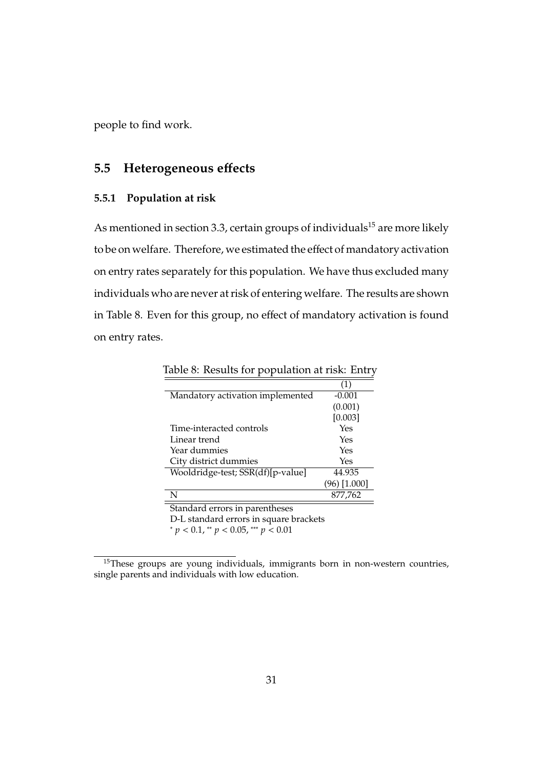people to find work.

# **5.5 Heterogeneous e**ff**ects**

#### **5.5.1 Population at risk**

As mentioned in section 3.3, certain groups of individuals<sup>15</sup> are more likely to be on welfare. Therefore, we estimated the effect of mandatory activation on entry rates separately for this population. We have thus excluded many individuals who are never at risk of entering welfare. The results are shown in Table 8. Even for this group, no effect of mandatory activation is found on entry rates.

|                                              | (1)            |  |  |
|----------------------------------------------|----------------|--|--|
| Mandatory activation implemented             | $-0.001$       |  |  |
|                                              | (0.001)        |  |  |
|                                              | [0.003]        |  |  |
| Time-interacted controls                     | Yes            |  |  |
| Linear trend                                 | Yes            |  |  |
| Year dummies                                 | Yes            |  |  |
| City district dummies                        | Yes            |  |  |
| Wooldridge-test; SSR(df)[p-value]            | 44.935         |  |  |
|                                              | $(96)$ [1.000] |  |  |
| N                                            | 877,762        |  |  |
| Standard errors in parentheses               |                |  |  |
| D-L standard errors in square brackets       |                |  |  |
| * $p < 0.1$ , ** $p < 0.05$ , *** $p < 0.01$ |                |  |  |

Table 8: Results for population at risk: Entry

<sup>15</sup>These groups are young individuals, immigrants born in non-western countries, single parents and individuals with low education.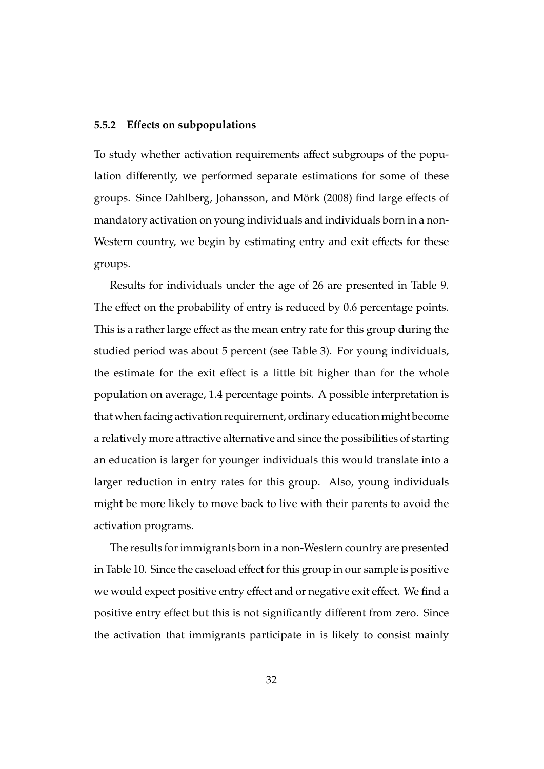#### **5.5.2 E**ff**ects on subpopulations**

To study whether activation requirements affect subgroups of the population differently, we performed separate estimations for some of these groups. Since Dahlberg, Johansson, and Mörk (2008) find large effects of mandatory activation on young individuals and individuals born in a non-Western country, we begin by estimating entry and exit effects for these groups.

Results for individuals under the age of 26 are presented in Table 9. The effect on the probability of entry is reduced by 0.6 percentage points. This is a rather large effect as the mean entry rate for this group during the studied period was about 5 percent (see Table 3). For young individuals, the estimate for the exit effect is a little bit higher than for the whole population on average, 1.4 percentage points. A possible interpretation is that when facing activation requirement, ordinary education might become a relatively more attractive alternative and since the possibilities of starting an education is larger for younger individuals this would translate into a larger reduction in entry rates for this group. Also, young individuals might be more likely to move back to live with their parents to avoid the activation programs.

The results for immigrants born in a non-Western country are presented in Table 10. Since the caseload effect for this group in our sample is positive we would expect positive entry effect and or negative exit effect. We find a positive entry effect but this is not significantly different from zero. Since the activation that immigrants participate in is likely to consist mainly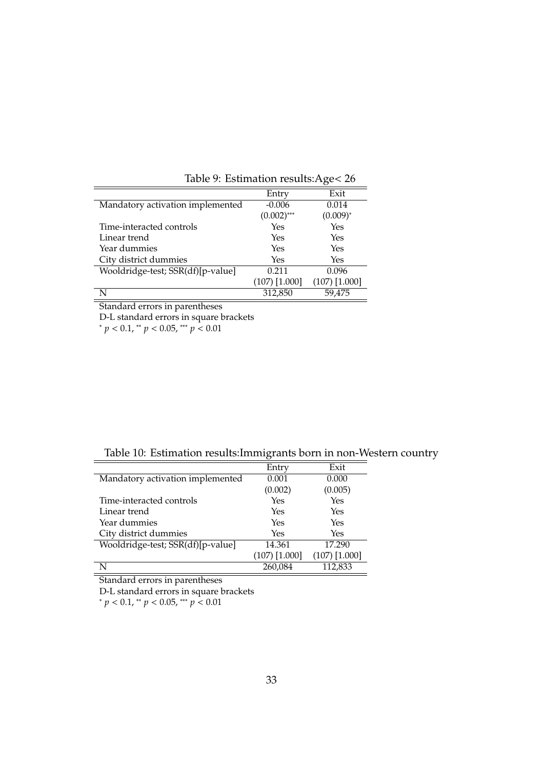| $\frac{1}{2}$                     |                 |                 |
|-----------------------------------|-----------------|-----------------|
|                                   | Entry           | Exit            |
| Mandatory activation implemented  | $-0.006$        | 0.014           |
|                                   | $(0.002)$ ***   | $(0.009)^{*}$   |
| Time-interacted controls          | Yes             | Yes             |
| Linear trend                      | Yes             | Yes             |
| Year dummies                      | Yes             | Yes             |
| City district dummies             | Yes             | Yes             |
| Wooldridge-test; SSR(df)[p-value] | 0.211           | 0.096           |
|                                   | $(107)$ [1.000] | $(107)$ [1.000] |
|                                   | 312,850         | 59,475          |

Table 9: Estimation results:Age< 26

Standard errors in parentheses

D-L standard errors in square brackets

<sup>∗</sup> *p* < 0.1, ∗∗ *p* < 0.05, ∗∗∗ *p* < 0.01

Table 10: Estimation results:Immigrants born in non-Western country

|                                   | Entry           | Exit            |
|-----------------------------------|-----------------|-----------------|
| Mandatory activation implemented  | 0.001           | 0.000           |
|                                   | (0.002)         | (0.005)         |
| Time-interacted controls          | Yes             | Yes             |
| Linear trend                      | Yes             | Yes             |
| Year dummies                      | Yes             | Yes             |
| City district dummies             | Yes             | Yes             |
| Wooldridge-test; SSR(df)[p-value] | 14.361          | 17.290          |
|                                   | $(107)$ [1.000] | $(107)$ [1.000] |
|                                   | 260,084         | 112,833         |

Standard errors in parentheses

D-L standard errors in square brackets

<sup>∗</sup> *p* < 0.1, ∗∗ *p* < 0.05, ∗∗∗ *p* < 0.01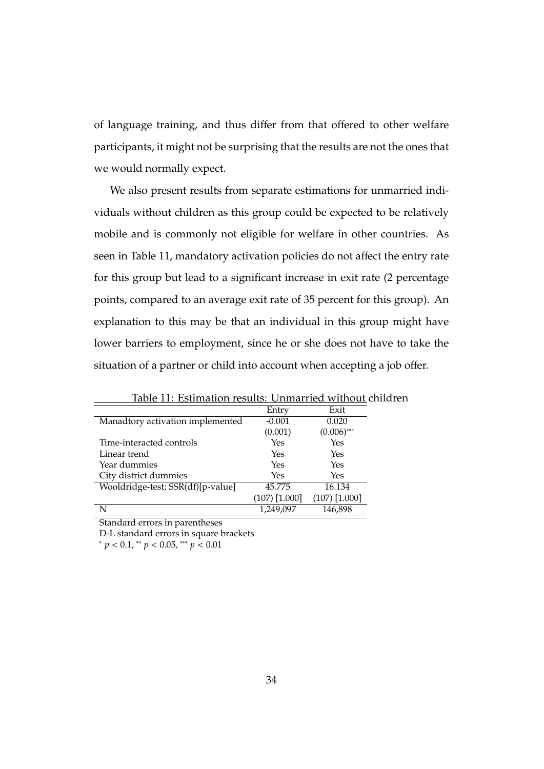of language training, and thus differ from that offered to other welfare participants, it might not be surprising that the results are not the ones that we would normally expect.

We also present results from separate estimations for unmarried individuals without children as this group could be expected to be relatively mobile and is commonly not eligible for welfare in other countries. As seen in Table 11, mandatory activation policies do not affect the entry rate for this group but lead to a significant increase in exit rate (2 percentage points, compared to an average exit rate of 35 percent for this group). An explanation to this may be that an individual in this group might have lower barriers to employment, since he or she does not have to take the situation of a partner or child into account when accepting a job offer.

|                                   | Entry           | Exit            |
|-----------------------------------|-----------------|-----------------|
| Manadtory activation implemented  | $-0.001$        | 0.020           |
|                                   | (0.001)         | $(0.006)$ ***   |
| Time-interacted controls          | Yes             | Yes             |
| Linear trend                      | Yes             | Yes             |
| Year dummies                      | Yes             | Yes             |
| City district dummies             | Yes             | Yes             |
| Wooldridge-test; SSR(df)[p-value] | 45.775          | 16.134          |
|                                   | $(107)$ [1.000] | $(107)$ [1.000] |
|                                   | 1,249,097       | 146,898         |

Table 11: Estimation results: Unmarried without children

Standard errors in parentheses

D-L standard errors in square brackets

<sup>∗</sup> *p* < 0.1, ∗∗ *p* < 0.05, ∗∗∗ *p* < 0.01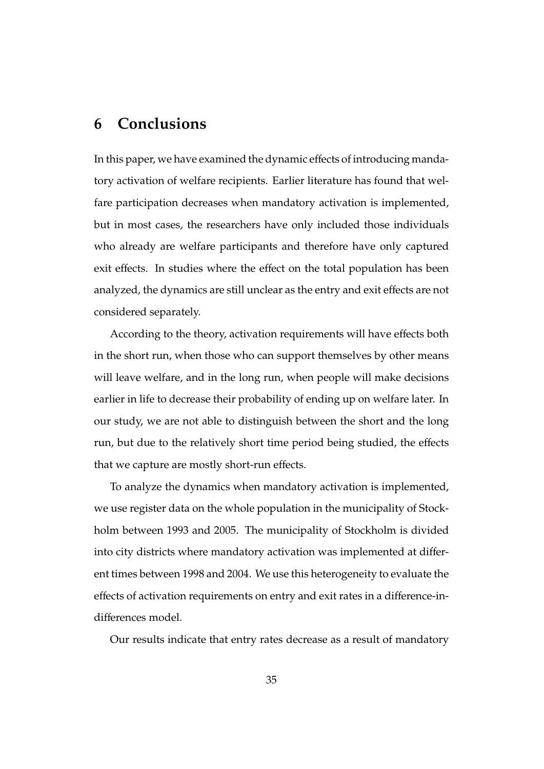# **6 Conclusions**

In this paper, we have examined the dynamic effects of introducing mandatory activation of welfare recipients. Earlier literature has found that welfare participation decreases when mandatory activation is implemented, but in most cases, the researchers have only included those individuals who already are welfare participants and therefore have only captured exit effects. In studies where the effect on the total population has been analyzed, the dynamics are still unclear as the entry and exit effects are not considered separately.

According to the theory, activation requirements will have effects both in the short run, when those who can support themselves by other means will leave welfare, and in the long run, when people will make decisions earlier in life to decrease their probability of ending up on welfare later. In our study, we are not able to distinguish between the short and the long run, but due to the relatively short time period being studied, the effects that we capture are mostly short-run effects.

To analyze the dynamics when mandatory activation is implemented, we use register data on the whole population in the municipality of Stockholm between 1993 and 2005. The municipality of Stockholm is divided into city districts where mandatory activation was implemented at different times between 1998 and 2004. We use this heterogeneity to evaluate the effects of activation requirements on entry and exit rates in a difference-indifferences model.

Our results indicate that entry rates decrease as a result of mandatory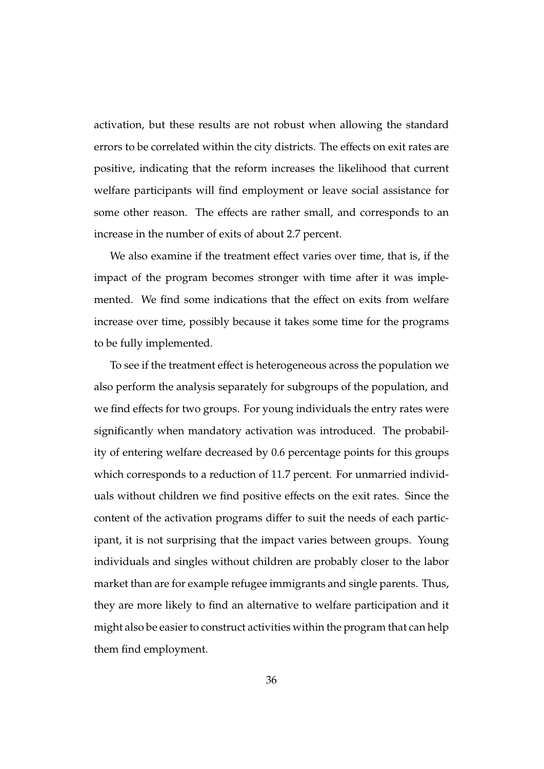activation, but these results are not robust when allowing the standard errors to be correlated within the city districts. The effects on exit rates are positive, indicating that the reform increases the likelihood that current welfare participants will find employment or leave social assistance for some other reason. The effects are rather small, and corresponds to an increase in the number of exits of about 2.7 percent.

We also examine if the treatment effect varies over time, that is, if the impact of the program becomes stronger with time after it was implemented. We find some indications that the effect on exits from welfare increase over time, possibly because it takes some time for the programs to be fully implemented.

To see if the treatment effect is heterogeneous across the population we also perform the analysis separately for subgroups of the population, and we find effects for two groups. For young individuals the entry rates were significantly when mandatory activation was introduced. The probability of entering welfare decreased by 0.6 percentage points for this groups which corresponds to a reduction of 11.7 percent. For unmarried individuals without children we find positive effects on the exit rates. Since the content of the activation programs differ to suit the needs of each participant, it is not surprising that the impact varies between groups. Young individuals and singles without children are probably closer to the labor market than are for example refugee immigrants and single parents. Thus, they are more likely to find an alternative to welfare participation and it might also be easier to construct activities within the program that can help them find employment.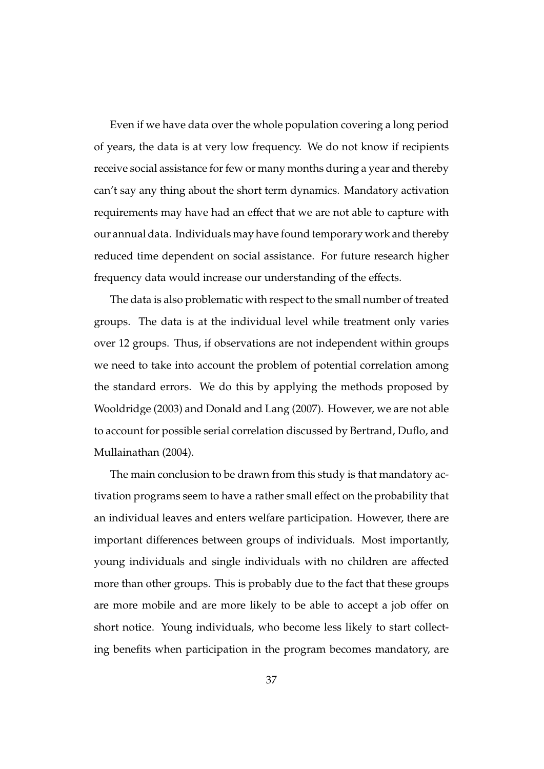Even if we have data over the whole population covering a long period of years, the data is at very low frequency. We do not know if recipients receive social assistance for few or many months during a year and thereby can't say any thing about the short term dynamics. Mandatory activation requirements may have had an effect that we are not able to capture with our annual data. Individuals may have found temporary work and thereby reduced time dependent on social assistance. For future research higher frequency data would increase our understanding of the effects.

The data is also problematic with respect to the small number of treated groups. The data is at the individual level while treatment only varies over 12 groups. Thus, if observations are not independent within groups we need to take into account the problem of potential correlation among the standard errors. We do this by applying the methods proposed by Wooldridge (2003) and Donald and Lang (2007). However, we are not able to account for possible serial correlation discussed by Bertrand, Duflo, and Mullainathan (2004).

The main conclusion to be drawn from this study is that mandatory activation programs seem to have a rather small effect on the probability that an individual leaves and enters welfare participation. However, there are important differences between groups of individuals. Most importantly, young individuals and single individuals with no children are affected more than other groups. This is probably due to the fact that these groups are more mobile and are more likely to be able to accept a job offer on short notice. Young individuals, who become less likely to start collecting benefits when participation in the program becomes mandatory, are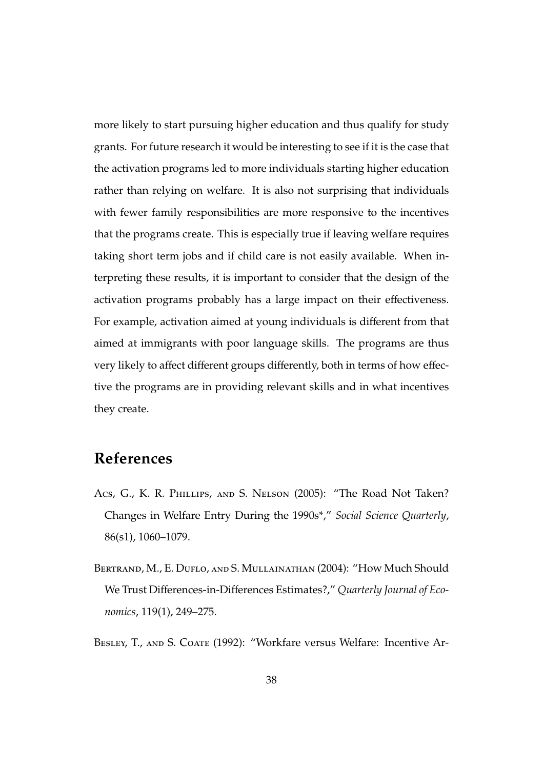more likely to start pursuing higher education and thus qualify for study grants. For future research it would be interesting to see if it is the case that the activation programs led to more individuals starting higher education rather than relying on welfare. It is also not surprising that individuals with fewer family responsibilities are more responsive to the incentives that the programs create. This is especially true if leaving welfare requires taking short term jobs and if child care is not easily available. When interpreting these results, it is important to consider that the design of the activation programs probably has a large impact on their effectiveness. For example, activation aimed at young individuals is different from that aimed at immigrants with poor language skills. The programs are thus very likely to affect different groups differently, both in terms of how effective the programs are in providing relevant skills and in what incentives they create.

# **References**

- Acs, G., K. R. Phillips, and S. Nelson (2005): "The Road Not Taken? Changes in Welfare Entry During the 1990s\*," *Social Science Quarterly*, 86(s1), 1060–1079.
- BERTRAND, M., E. DUFLO, AND S. MULLAINATHAN (2004): "How Much Should We Trust Differences-in-Differences Estimates?," *Quarterly Journal of Economics*, 119(1), 249–275.

BESLEY, T., AND S. COATE (1992): "Workfare versus Welfare: Incentive Ar-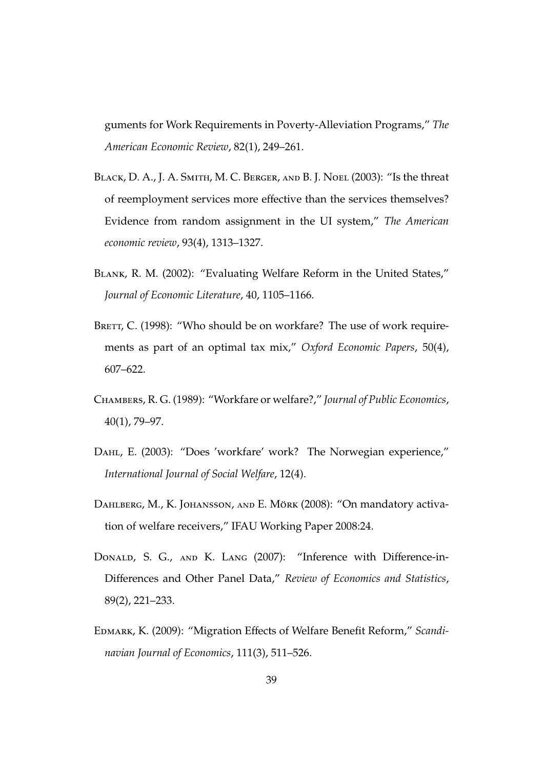guments for Work Requirements in Poverty-Alleviation Programs," *The American Economic Review*, 82(1), 249–261.

- BLACK, D. A., J. A. SMITH, M. C. BERGER, AND B. J. NOEL (2003): "Is the threat of reemployment services more effective than the services themselves? Evidence from random assignment in the UI system," *The American economic review*, 93(4), 1313–1327.
- Blank, R. M. (2002): "Evaluating Welfare Reform in the United States," *Journal of Economic Literature*, 40, 1105–1166.
- BRETT, C. (1998): "Who should be on workfare? The use of work requirements as part of an optimal tax mix," *Oxford Economic Papers*, 50(4), 607–622.
- Chambers, R. G. (1989): "Workfare or welfare?," *Journal of Public Economics*, 40(1), 79–97.
- Dahl, E. (2003): "Does 'workfare' work? The Norwegian experience," *International Journal of Social Welfare*, 12(4).
- DAHLBERG, M., K. JOHANSSON, AND E. MÖRK (2008): "On mandatory activation of welfare receivers," IFAU Working Paper 2008:24.
- DONALD, S. G., AND K. LANG (2007): "Inference with Difference-in-Differences and Other Panel Data," *Review of Economics and Statistics*, 89(2), 221–233.
- Edmark, K. (2009): "Migration Effects of Welfare Benefit Reform," *Scandinavian Journal of Economics*, 111(3), 511–526.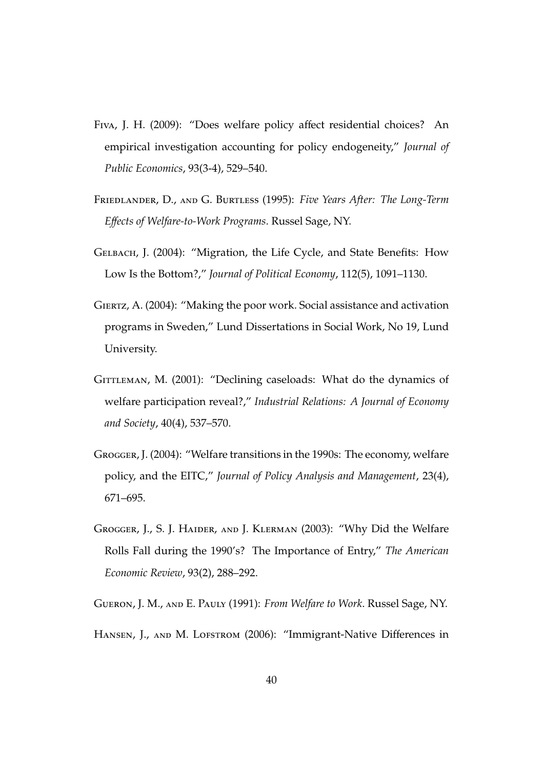- Fiva, J. H. (2009): "Does welfare policy affect residential choices? An empirical investigation accounting for policy endogeneity," *Journal of Public Economics*, 93(3-4), 529–540.
- Friedlander, D., and G. Burtless (1995): *Five Years After: The Long-Term E*ff*ects of Welfare-to-Work Programs*. Russel Sage, NY.
- Gelbach, J. (2004): "Migration, the Life Cycle, and State Benefits: How Low Is the Bottom?," *Journal of Political Economy*, 112(5), 1091–1130.
- Giertz, A. (2004): "Making the poor work. Social assistance and activation programs in Sweden," Lund Dissertations in Social Work, No 19, Lund University.
- GITTLEMAN, M. (2001): "Declining caseloads: What do the dynamics of welfare participation reveal?," *Industrial Relations: A Journal of Economy and Society*, 40(4), 537–570.
- Grogger, J. (2004): "Welfare transitions in the 1990s: The economy, welfare policy, and the EITC," *Journal of Policy Analysis and Management*, 23(4), 671–695.
- Grogger, J., S. J. Haider, and J. Klerman (2003): "Why Did the Welfare Rolls Fall during the 1990's? The Importance of Entry," *The American Economic Review*, 93(2), 288–292.
- Gueron, J. M., and E. Pauly (1991): *From Welfare to Work*. Russel Sage, NY.
- HANSEN, J., AND M. LOFSTROM (2006): "Immigrant-Native Differences in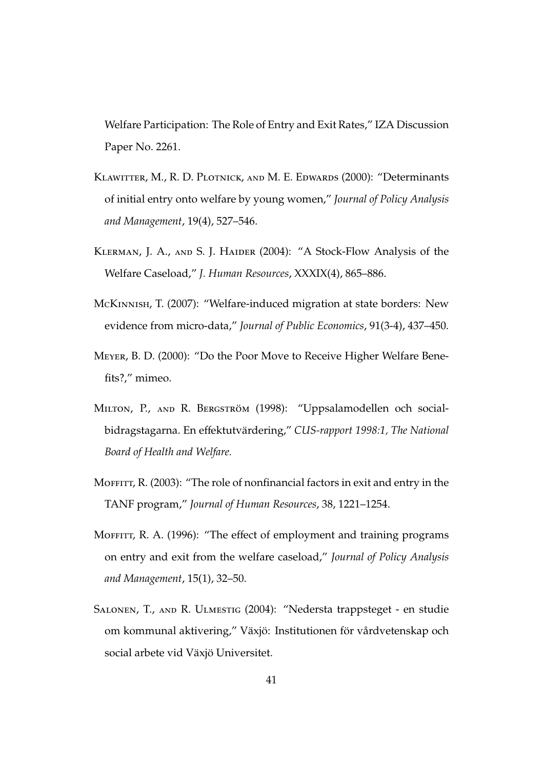Welfare Participation: The Role of Entry and Exit Rates," IZA Discussion Paper No. 2261.

- Klawitter, M., R. D. Plotnick, and M. E. Edwards (2000): "Determinants of initial entry onto welfare by young women," *Journal of Policy Analysis and Management*, 19(4), 527–546.
- Klerman, J. A., and S. J. Haider (2004): "A Stock-Flow Analysis of the Welfare Caseload," *J. Human Resources*, XXXIX(4), 865–886.
- McKinnish, T. (2007): "Welfare-induced migration at state borders: New evidence from micro-data," *Journal of Public Economics*, 91(3-4), 437–450.
- Meyer, B. D. (2000): "Do the Poor Move to Receive Higher Welfare Benefits?," mimeo.
- MILTON, P., AND R. BERGSTRÖM (1998): "Uppsalamodellen och socialbidragstagarna. En effektutvärdering," CUS-rapport 1998:1, The National *Board of Health and Welfare.*
- MOFFITT, R. (2003): "The role of nonfinancial factors in exit and entry in the TANF program," *Journal of Human Resources*, 38, 1221–1254.
- MOFFITT, R. A. (1996): "The effect of employment and training programs on entry and exit from the welfare caseload," *Journal of Policy Analysis and Management*, 15(1), 32–50.
- Salonen, T., and R. Ulmestig (2004): "Nedersta trappsteget en studie om kommunal aktivering," Växjö: Institutionen för vårdvetenskap och social arbete vid Växjö Universitet.